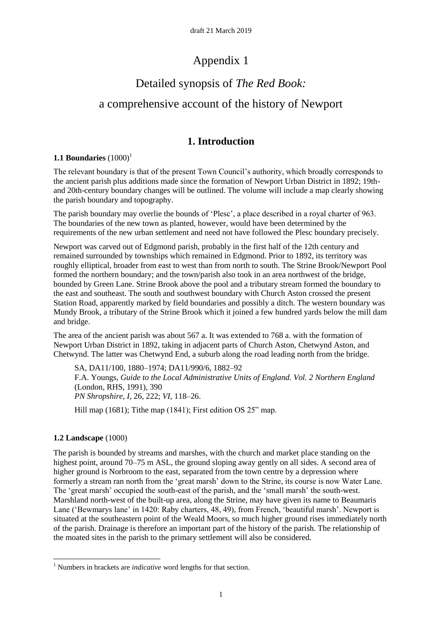# Appendix 1

# Detailed synopsis of *The Red Book:*  a comprehensive account of the history of Newport

## **1. Introduction**

## **1.1 Boundaries**  $(1000)^1$

The relevant boundary is that of the present Town Council's authority, which broadly corresponds to the ancient parish plus additions made since the formation of Newport Urban District in 1892; 19thand 20th-century boundary changes will be outlined. The volume will include a map clearly showing the parish boundary and topography.

The parish boundary may overlie the bounds of 'Plesc', a place described in a royal charter of 963. The boundaries of the new town as planted, however, would have been determined by the requirements of the new urban settlement and need not have followed the Plesc boundary precisely.

Newport was carved out of Edgmond parish, probably in the first half of the 12th century and remained surrounded by townships which remained in Edgmond. Prior to 1892, its territory was roughly elliptical, broader from east to west than from north to south. The Strine Brook/Newport Pool formed the northern boundary; and the town/parish also took in an area northwest of the bridge, bounded by Green Lane. Strine Brook above the pool and a tributary stream formed the boundary to the east and southeast. The south and southwest boundary with Church Aston crossed the present Station Road, apparently marked by field boundaries and possibly a ditch. The western boundary was Mundy Brook, a tributary of the Strine Brook which it joined a few hundred yards below the mill dam and bridge.

The area of the ancient parish was about 567 a. It was extended to 768 a. with the formation of Newport Urban District in 1892, taking in adjacent parts of Church Aston, Chetwynd Aston, and Chetwynd. The latter was Chetwynd End, a suburb along the road leading north from the bridge.

SA, DA11/100, 1880–1974; DA11/990/6, 1882–92 F.A. Youngs, *Guide to the Local Administrative Units of England. Vol. 2 Northern England* (London, RHS, 1991), 390 *PN Shropshire*, *I*, 26, 222; *VI*, 118–26.

Hill map (1681); Tithe map (1841); First edition OS 25" map.

## **1.2 Landscape** (1000)

The parish is bounded by streams and marshes, with the church and market place standing on the highest point, around 70–75 m ASL, the ground sloping away gently on all sides. A second area of higher ground is Norbroom to the east, separated from the town centre by a depression where formerly a stream ran north from the 'great marsh' down to the Strine, its course is now Water Lane. The 'great marsh' occupied the south-east of the parish, and the 'small marsh' the south-west. Marshland north-west of the built-up area, along the Strine, may have given its name to Beaumaris Lane ('Bewmarys lane' in 1420: Raby charters, 48, 49), from French, 'beautiful marsh'. Newport is situated at the southeastern point of the Weald Moors, so much higher ground rises immediately north of the parish. Drainage is therefore an important part of the history of the parish. The relationship of the moated sites in the parish to the primary settlement will also be considered.

**<sup>.</sup>** <sup>1</sup> Numbers in brackets are *indicative* word lengths for that section.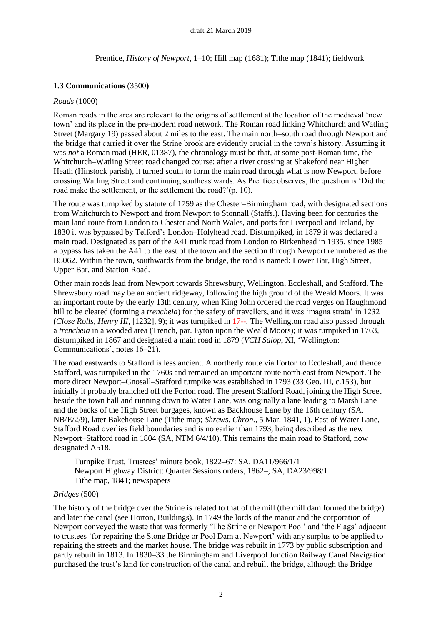### Prentice, *History of Newport*, 1–10; Hill map (1681); Tithe map (1841); fieldwork

### **1.3 Communications** (3500**)**

#### *Roads* (1000)

Roman roads in the area are relevant to the origins of settlement at the location of the medieval 'new town' and its place in the pre-modern road network. The Roman road linking Whitchurch and Watling Street (Margary 19) passed about 2 miles to the east. The main north–south road through Newport and the bridge that carried it over the Strine brook are evidently crucial in the town's history. Assuming it was *not* a Roman road (HER, 01387), the chronology must be that, at some post-Roman time, the Whitchurch–Watling Street road changed course: after a river crossing at Shakeford near Higher Heath (Hinstock parish), it turned south to form the main road through what is now Newport, before crossing Watling Street and continuing southeastwards. As Prentice observes, the question is 'Did the road make the settlement, or the settlement the road?'(p. 10).

The route was turnpiked by statute of 1759 as the Chester–Birmingham road, with designated sections from Whitchurch to Newport and from Newport to Stonnall (Staffs.). Having been for centuries the main land route from London to Chester and North Wales, and ports for Liverpool and Ireland, by 1830 it was bypassed by Telford's London–Holyhead road. Disturnpiked, in 1879 it was declared a main road. Designated as part of the A41 trunk road from London to Birkenhead in 1935, since 1985 a bypass has taken the A41 to the east of the town and the section through Newport renumbered as the B5062. Within the town, southwards from the bridge, the road is named: Lower Bar, High Street, Upper Bar, and Station Road.

Other main roads lead from Newport towards Shrewsbury, Wellington, Eccleshall, and Stafford. The Shrewsbury road may be an ancient ridgeway, following the high ground of the Weald Moors. It was an important route by the early 13th century, when King John ordered the road verges on Haughmond hill to be cleared (forming a *trencheia*) for the safety of travellers, and it was 'magna strata' in 1232 (*Close Rolls, Henry III*, [1232], 9); it was turnpiked in 17--. The Wellington road also passed through a *trencheia* in a wooded area (Trench, par. Eyton upon the Weald Moors); it was turnpiked in 1763, disturnpiked in 1867 and designated a main road in 1879 (*VCH Salop*, XI, 'Wellington: Communications', notes 16–21).

The road eastwards to Stafford is less ancient. A northerly route via Forton to Eccleshall, and thence Stafford, was turnpiked in the 1760s and remained an important route north-east from Newport. The more direct Newport–Gnosall–Stafford turnpike was established in 1793 (33 Geo. III, c.153), but initially it probably branched off the Forton road. The present Stafford Road, joining the High Street beside the town hall and running down to Water Lane, was originally a lane leading to Marsh Lane and the backs of the High Street burgages, known as Backhouse Lane by the 16th century (SA, NB/E/2/9), later Bakehouse Lane (Tithe map; *Shrews. Chron.*, 5 Mar. 1841, 1). East of Water Lane, Stafford Road overlies field boundaries and is no earlier than 1793, being described as the new Newport–Stafford road in 1804 (SA, NTM 6/4/10). This remains the main road to Stafford, now designated A518.

Turnpike Trust, Trustees' minute book, 1822–67: SA, DA11/966/1/1 Newport Highway District: Quarter Sessions orders, 1862–; SA, DA23/998/1 Tithe map, 1841; newspapers

#### *Bridges* (500)

The history of the bridge over the Strine is related to that of the mill (the mill dam formed the bridge) and later the canal (see Horton, Buildings). In 1749 the lords of the manor and the corporation of Newport conveyed the waste that was formerly 'The Strine or Newport Pool' and 'the Flags' adjacent to trustees 'for repairing the Stone Bridge or Pool Dam at Newport' with any surplus to be applied to repairing the streets and the market house. The bridge was rebuilt in 1773 by public subscription and partly rebuilt in 1813. In 1830–33 the Birmingham and Liverpool Junction Railway Canal Navigation purchased the trust's land for construction of the canal and rebuilt the bridge, although the Bridge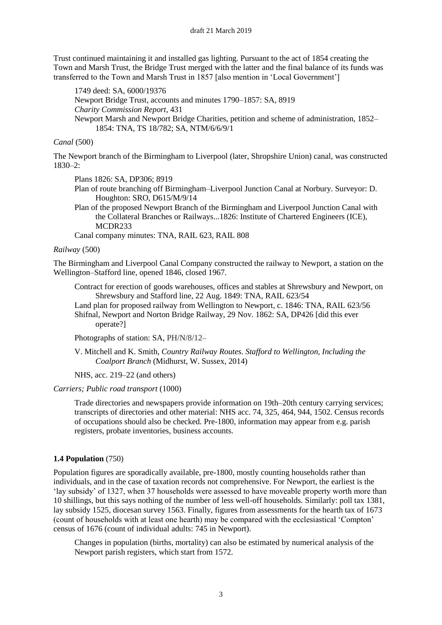Trust continued maintaining it and installed gas lighting. Pursuant to the act of 1854 creating the Town and Marsh Trust, the Bridge Trust merged with the latter and the final balance of its funds was transferred to the Town and Marsh Trust in 1857 [also mention in 'Local Government']

1749 deed: SA, 6000/19376 Newport Bridge Trust, accounts and minutes 1790–1857: SA, 8919 *Charity Commission Report*, 431 Newport Marsh and Newport Bridge Charities, petition and scheme of administration, 1852– 1854: TNA, TS 18/782; SA, NTM/6/6/9/1

*Canal* (500)

The Newport branch of the Birmingham to Liverpool (later, Shropshire Union) canal, was constructed  $1830 - 2$ 

Plans 1826: SA, DP306; 8919

- Plan of route branching off Birmingham–Liverpool Junction Canal at Norbury. Surveyor: D. Houghton: SRO, D615/M/9/14
- Plan of the proposed Newport Branch of the Birmingham and Liverpool Junction Canal with the Collateral Branches or Railways...1826: Institute of Chartered Engineers (ICE), MCDR233

Canal company minutes: TNA, RAIL 623, RAIL 808

*Railway* (500)

The Birmingham and Liverpool Canal Company constructed the railway to Newport, a station on the Wellington–Stafford line, opened 1846, closed 1967.

Contract for erection of goods warehouses, offices and stables at Shrewsbury and Newport, on Shrewsbury and Stafford line, 22 Aug. 1849: TNA, RAIL 623/54

Land plan for proposed railway from Wellington to Newport, c. 1846: TNA, RAIL 623/56 Shifnal, Newport and Norton Bridge Railway, 29 Nov. 1862: SA, DP426 [did this ever operate?]

Photographs of station: SA, PH/N/8/12–

V. Mitchell and K. Smith, *Country Railway Routes. Stafford to Wellington, Including the Coalport Branch* (Midhurst, W. Sussex, 2014)

NHS, acc. 219–22 (and others)

*Carriers; Public road transport* (1000)

Trade directories and newspapers provide information on 19th–20th century carrying services; transcripts of directories and other material: NHS acc. 74, 325, 464, 944, 1502. Census records of occupations should also be checked. Pre-1800, information may appear from e.g. parish registers, probate inventories, business accounts.

#### **1.4 Population** (750)

Population figures are sporadically available, pre-1800, mostly counting households rather than individuals, and in the case of taxation records not comprehensive. For Newport, the earliest is the 'lay subsidy' of 1327, when 37 households were assessed to have moveable property worth more than 10 shillings, but this says nothing of the number of less well-off households. Similarly: poll tax 1381, lay subsidy 1525, diocesan survey 1563. Finally, figures from assessments for the hearth tax of 1673 (count of households with at least one hearth) may be compared with the ecclesiastical 'Compton' census of 1676 (count of individual adults: 745 in Newport).

Changes in population (births, mortality) can also be estimated by numerical analysis of the Newport parish registers, which start from 1572.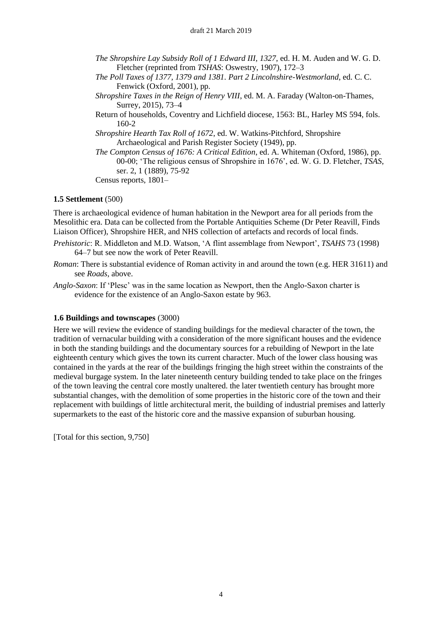- *The Shropshire Lay Subsidy Roll of 1 Edward III, 1327*, ed. H. M. Auden and W. G. D. Fletcher (reprinted from *TSHAS*: Oswestry, 1907), 172–3
- *The Poll Taxes of 1377, 1379 and 1381. Part 2 Lincolnshire-Westmorland*, ed. C. C. Fenwick (Oxford, 2001), pp.
- *Shropshire Taxes in the Reign of Henry VIII*, ed. M. A. Faraday (Walton-on-Thames, Surrey, 2015), 73–4
- Return of households, Coventry and Lichfield diocese, 1563: BL, Harley MS 594, fols. 160-2
- *Shropshire Hearth Tax Roll of 1672*, ed. W. Watkins-Pitchford, Shropshire Archaeological and Parish Register Society (1949), pp.
- *The Compton Census of 1676: A Critical Edition*, ed. A. Whiteman (Oxford, 1986), pp. 00-00; 'The religious census of Shropshire in 1676', ed. W. G. D. Fletcher, *TSAS*, ser. 2, 1 (1889), 75-92

Census reports, 1801–

### **1.5 Settlement** (500)

There is archaeological evidence of human habitation in the Newport area for all periods from the Mesolithic era. Data can be collected from the Portable Antiquities Scheme (Dr Peter Reavill, Finds Liaison Officer), Shropshire HER, and NHS collection of artefacts and records of local finds.

- *Prehistoric*: R. Middleton and M.D. Watson, 'A flint assemblage from Newport', *TSAHS* 73 (1998) 64–7 but see now the work of Peter Reavill.
- *Roman*: There is substantial evidence of Roman activity in and around the town (e.g. HER 31611) and see *Roads*, above.
- *Anglo-Saxon*: If 'Plesc' was in the same location as Newport, then the Anglo-Saxon charter is evidence for the existence of an Anglo-Saxon estate by 963.

#### **1.6 Buildings and townscapes** (3000)

Here we will review the evidence of standing buildings for the medieval character of the town, the tradition of vernacular building with a consideration of the more significant houses and the evidence in both the standing buildings and the documentary sources for a rebuilding of Newport in the late eighteenth century which gives the town its current character. Much of the lower class housing was contained in the yards at the rear of the buildings fringing the high street within the constraints of the medieval burgage system. In the later nineteenth century building tended to take place on the fringes of the town leaving the central core mostly unaltered. the later twentieth century has brought more substantial changes, with the demolition of some properties in the historic core of the town and their replacement with buildings of little architectural merit, the building of industrial premises and latterly supermarkets to the east of the historic core and the massive expansion of suburban housing.

[Total for this section, 9,750]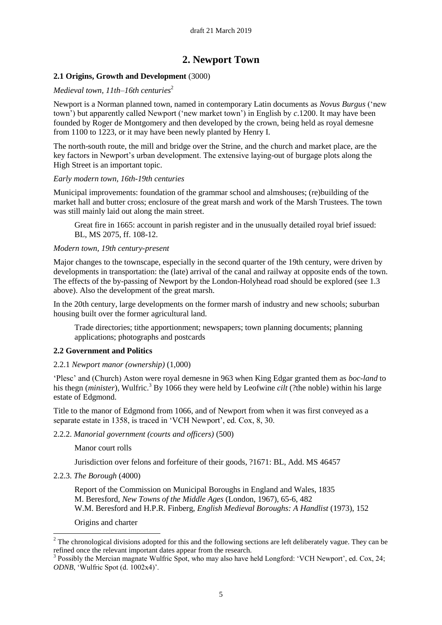## **2. Newport Town**

### **2.1 Origins, Growth and Development** (3000)

### *Medieval town, 11th–16th centuries*<sup>2</sup>

Newport is a Norman planned town, named in contemporary Latin documents as *Novus Burgus* ('new town') but apparently called Newport ('new market town') in English by *c*.1200. It may have been founded by Roger de Montgomery and then developed by the crown, being held as royal demesne from 1100 to 1223, or it may have been newly planted by Henry I.

The north-south route, the mill and bridge over the Strine, and the church and market place, are the key factors in Newport's urban development. The extensive laying-out of burgage plots along the High Street is an important topic.

#### *Early modern town, 16th-19th centuries*

Municipal improvements: foundation of the grammar school and almshouses; (re)building of the market hall and butter cross; enclosure of the great marsh and work of the Marsh Trustees. The town was still mainly laid out along the main street.

Great fire in 1665: account in parish register and in the unusually detailed royal brief issued: BL, MS 2075, ff. 108-12.

#### *Modern town, 19th century-present*

Major changes to the townscape, especially in the second quarter of the 19th century, were driven by developments in transportation: the (late) arrival of the canal and railway at opposite ends of the town. The effects of the by-passing of Newport by the London-Holyhead road should be explored (see 1.3 above). Also the development of the great marsh.

In the 20th century, large developments on the former marsh of industry and new schools; suburban housing built over the former agricultural land.

Trade directories; tithe apportionment; newspapers; town planning documents; planning applications; photographs and postcards

#### **2.2 Government and Politics**

#### 2.2.1 *Newport manor (ownership)* (1,000)

'Plesc' and (Church) Aston were royal demesne in 963 when King Edgar granted them as *boc-land* to his thegn (*minister*), Wulfric.<sup>3</sup> By 1066 they were held by Leofwine *cilt* (?the noble) within his large estate of Edgmond.

Title to the manor of Edgmond from 1066, and of Newport from when it was first conveyed as a separate estate in 1358, is traced in 'VCH Newport', ed. Cox, 8, 30.

2.2.2. *Manorial government (courts and officers)* (500)

Manor court rolls

Jurisdiction over felons and forfeiture of their goods, ?1671: BL, Add. MS 46457

2.2.3. *The Borough* (4000)

Report of the Commission on Municipal Boroughs in England and Wales, 1835 M. Beresford, *New Towns of the Middle Ages* (London, 1967), 65-6, 482 W.M. Beresford and H.P.R. Finberg, *English Medieval Boroughs: A Handlist* (1973), 152

Origins and charter

**.** 

 $2$  The chronological divisions adopted for this and the following sections are left deliberately vague. They can be refined once the relevant important dates appear from the research.

<sup>&</sup>lt;sup>3</sup> Possibly the Mercian magnate Wulfric Spot, who may also have held Longford: 'VCH Newport', ed. Cox, 24; *ODNB*, 'Wulfric Spot (d. 1002x4)'.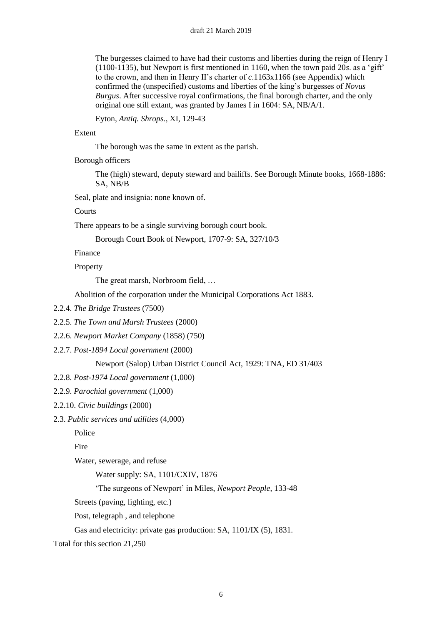The burgesses claimed to have had their customs and liberties during the reign of Henry I (1100-1135), but Newport is first mentioned in 1160, when the town paid 20*s*. as a 'gift' to the crown, and then in Henry II's charter of *c*.1163x1166 (see Appendix) which confirmed the (unspecified) customs and liberties of the king's burgesses of *Novus Burgus*. After successive royal confirmations, the final borough charter, and the only original one still extant, was granted by James I in 1604: SA, NB/A/1.

Eyton, *Antiq. Shrops.*, XI, 129-43

#### Extent

The borough was the same in extent as the parish.

Borough officers

The (high) steward, deputy steward and bailiffs. See Borough Minute books, 1668-1886: SA, NB/B

Seal, plate and insignia: none known of.

Courts

There appears to be a single surviving borough court book.

Borough Court Book of Newport, 1707-9: SA, 327/10/3

Finance

Property

The great marsh, Norbroom field, …

Abolition of the corporation under the Municipal Corporations Act 1883.

- 2.2.4. *The Bridge Trustees* (7500)
- 2.2.5. *The Town and Marsh Trustees* (2000)
- 2.2.6. *Newport Market Company* (1858) (750)
- 2.2.7. *Post-1894 Local government* (2000)

Newport (Salop) Urban District Council Act, 1929: TNA, ED 31/403

- 2.2.8. *Post-1974 Local government* (1,000)
- 2.2.9. *Parochial government* (1,000)
- 2.2.10. *Civic buildings* (2000)
- 2.3. *Public services and utilities* (4,000)

Police

Fire

Water, sewerage, and refuse

Water supply: SA, 1101/CXIV, 1876

'The surgeons of Newport' in Miles, *Newport People*, 133-48

Streets (paving, lighting, etc.)

Post, telegraph , and telephone

Gas and electricity: private gas production: SA, 1101/IX (5), 1831.

Total for this section 21,250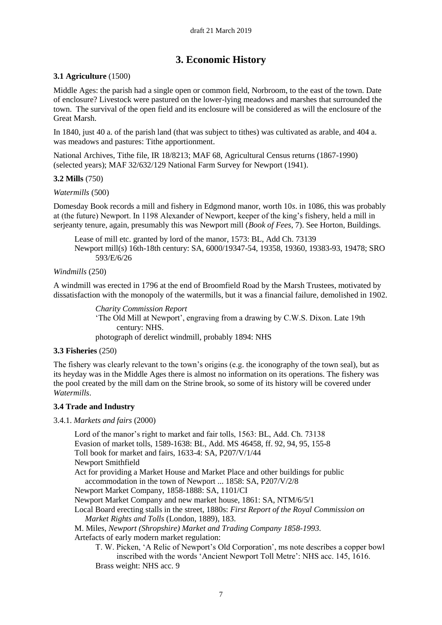## **3. Economic History**

## **3.1 Agriculture** (1500)

Middle Ages: the parish had a single open or common field, Norbroom, to the east of the town. Date of enclosure? Livestock were pastured on the lower-lying meadows and marshes that surrounded the town. The survival of the open field and its enclosure will be considered as will the enclosure of the Great Marsh.

In 1840, just 40 a. of the parish land (that was subject to tithes) was cultivated as arable, and 404 a. was meadows and pastures: Tithe apportionment.

National Archives, Tithe file, IR 18/8213; MAF 68, Agricultural Census returns (1867-1990) (selected years); MAF 32/632/129 National Farm Survey for Newport (1941).

#### **3.2 Mills** (750)

#### *Watermills* (500)

Domesday Book records a mill and fishery in Edgmond manor, worth 10*s*. in 1086, this was probably at (the future) Newport. In 1198 Alexander of Newport, keeper of the king's fishery, held a mill in serjeanty tenure, again, presumably this was Newport mill (*Book of Fees*, 7). See Horton, Buildings.

Lease of mill etc. granted by lord of the manor, 1573: BL, Add Ch. 73139 Newport mill(s) 16th-18th century: SA, 6000/19347-54, 19358, 19360, 19383-93, 19478; SRO 593/E/6/26

### *Windmills* (250)

A windmill was erected in 1796 at the end of Broomfield Road by the Marsh Trustees, motivated by dissatisfaction with the monopoly of the watermills, but it was a financial failure, demolished in 1902.

> *Charity Commission Report* 'The Old Mill at Newport', engraving from a drawing by C.W.S. Dixon. Late 19th century: NHS. photograph of derelict windmill, probably 1894: NHS

#### **3.3 Fisheries** (250)

The fishery was clearly relevant to the town's origins (e.g. the iconography of the town seal), but as its heyday was in the Middle Ages there is almost no information on its operations. The fishery was the pool created by the mill dam on the Strine brook, so some of its history will be covered under *Watermills*.

#### **3.4 Trade and Industry**

3.4.1. *Markets and fairs* (2000)

Lord of the manor's right to market and fair tolls, 1563: BL, Add. Ch. 73138 Evasion of market tolls, 1589-1638: BL, Add. MS 46458, ff. 92, 94, 95, 155-8 Toll book for market and fairs, 1633-4: SA, P207/V/1/44 Newport Smithfield Act for providing a Market House and Market Place and other buildings for public accommodation in the town of Newport ... 1858: SA, P207/V/2/8 Newport Market Company, 1858-1888: SA, 1101/CI Newport Market Company and new market house, 1861: SA, NTM/6/5/1 Local Board erecting stalls in the street, 1880s: *First Report of the Royal Commission on Market Rights and Tolls* (London, 1889), 183. M. Miles, *Newport (Shropshire) Market and Trading Company 1858-1993*. Artefacts of early modern market regulation: T. W. Picken, 'A Relic of Newport's Old Corporation', ms note describes a copper bowl inscribed with the words 'Ancient Newport Toll Metre': NHS acc. 145, 1616. Brass weight: NHS acc. 9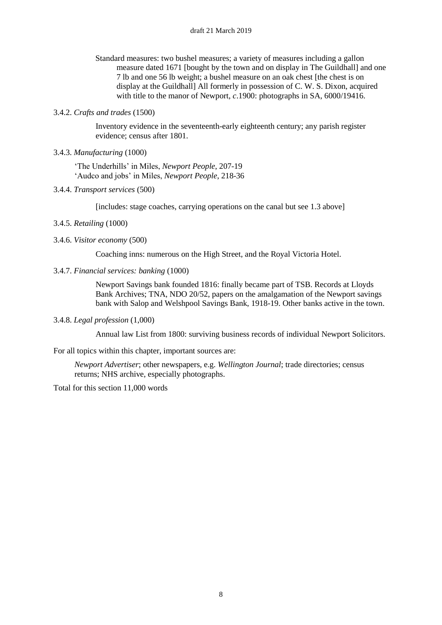- Standard measures: two bushel measures; a variety of measures including a gallon measure dated 1671 [bought by the town and on display in The Guildhall] and one 7 lb and one 56 lb weight; a bushel measure on an oak chest [the chest is on display at the Guildhall] All formerly in possession of C. W. S. Dixon, acquired with title to the manor of Newport, *c*.1900: photographs in SA, 6000/19416.
- 3.4.2. *Crafts and trades* (1500)

Inventory evidence in the seventeenth-early eighteenth century; any parish register evidence; census after 1801.

3.4.3. *Manufacturing* (1000)

'The Underhills' in Miles, *Newport People*, 207-19 'Audco and jobs' in Miles, *Newport People*, 218-36

3.4.4. *Transport services* (500)

[includes: stage coaches, carrying operations on the canal but see 1.3 above]

- 3.4.5. *Retailing* (1000)
- 3.4.6. *Visitor economy* (500)

Coaching inns: numerous on the High Street, and the Royal Victoria Hotel.

3.4.7. *Financial services: banking* (1000)

Newport Savings bank founded 1816: finally became part of TSB. Records at Lloyds Bank Archives; TNA, NDO 20/52, papers on the amalgamation of the Newport savings bank with Salop and Welshpool Savings Bank, 1918-19. Other banks active in the town.

3.4.8. *Legal profession* (1,000)

Annual law List from 1800: surviving business records of individual Newport Solicitors.

For all topics within this chapter, important sources are:

*Newport Advertiser*; other newspapers, e.g. *Wellington Journal*; trade directories; census returns; NHS archive, especially photographs.

Total for this section 11,000 words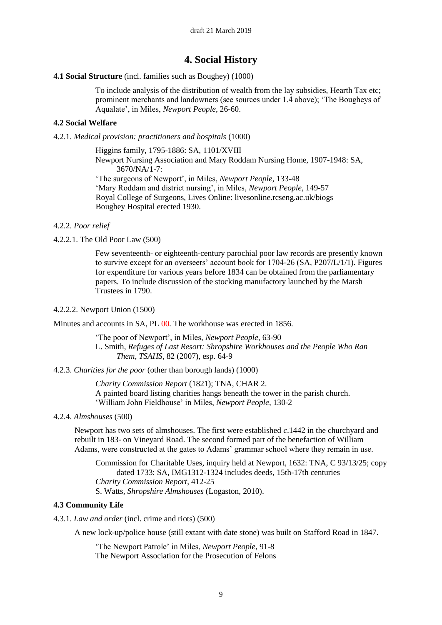## **4. Social History**

#### **4.1 Social Structure** (incl. families such as Boughey) (1000)

To include analysis of the distribution of wealth from the lay subsidies, Hearth Tax etc; prominent merchants and landowners (see sources under 1.4 above); 'The Bougheys of Aqualate', in Miles, *Newport People*, 26-60.

#### **4.2 Social Welfare**

4.2.1. *Medical provision: practitioners and hospitals* (1000)

Higgins family, 1795-1886: SA, 1101/XVIII Newport Nursing Association and Mary Roddam Nursing Home, 1907-1948: SA,  $3670/NA/1-7$ 

'The surgeons of Newport', in Miles, *Newport People*, 133-48 'Mary Roddam and district nursing', in Miles, *Newport People*, 149-57 Royal College of Surgeons, Lives Online: livesonline.rcseng.ac.uk/biogs Boughey Hospital erected 1930.

#### 4.2.2. *Poor relief*

4.2.2.1. The Old Poor Law (500)

Few seventeenth- or eighteenth-century parochial poor law records are presently known to survive except for an overseers' account book for 1704-26 (SA, P207/L/1/1). Figures for expenditure for various years before 1834 can be obtained from the parliamentary papers. To include discussion of the stocking manufactory launched by the Marsh Trustees in 1790.

#### 4.2.2.2. Newport Union (1500)

Minutes and accounts in SA, PL 00*.* The workhouse was erected in 1856.

'The poor of Newport', in Miles, *Newport People*, 63-90 L. Smith, *Refuges of Last Resort: Shropshire Workhouses and the People Who Ran Them*, *TSAHS*, 82 (2007), esp. 64-9

4.2.3. *Charities for the poor* (other than borough lands) (1000)

*Charity Commission Report* (1821); TNA, CHAR 2. A painted board listing charities hangs beneath the tower in the parish church. 'William John Fieldhouse' in Miles, *Newport People*, 130-2

#### 4.2.4. *Almshouses* (500)

Newport has two sets of almshouses. The first were established *c*.1442 in the churchyard and rebuilt in 183- on Vineyard Road. The second formed part of the benefaction of William Adams, were constructed at the gates to Adams' grammar school where they remain in use.

Commission for Charitable Uses, inquiry held at Newport, 1632: TNA, C 93/13/25; copy dated 1733: SA, IMG1312-1324 includes deeds, 15th-17th centuries *Charity Commission Report*, 412-25 S. Watts, *Shropshire Almshouses* (Logaston, 2010).

#### **4.3 Community Life**

4.3.1. *Law and order* (incl. crime and riots) (500)

A new lock-up/police house (still extant with date stone) was built on Stafford Road in 1847.

'The Newport Patrole' in Miles, *Newport People*, 91-8 The Newport Association for the Prosecution of Felons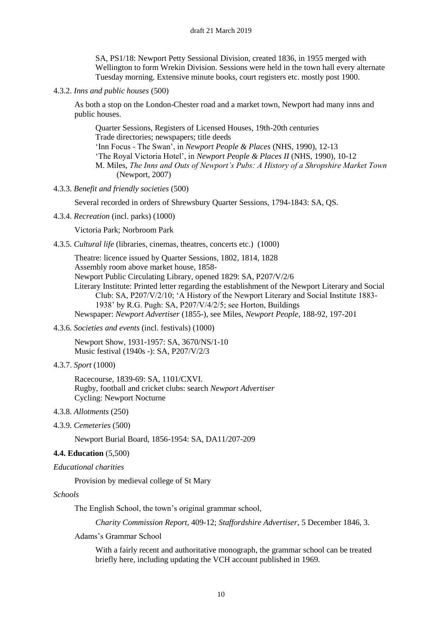SA, PS1/18: Newport Petty Sessional Division, created 1836, in 1955 merged with Wellington to form Wrekin Division. Sessions were held in the town hall every alternate Tuesday morning. Extensive minute books, court registers etc. mostly post 1900.

4.3.2. *Inns and public houses* (500)

As both a stop on the London-Chester road and a market town, Newport had many inns and public houses.

Quarter Sessions, Registers of Licensed Houses, 19th-20th centuries Trade directories; newspapers; title deeds 'Inn Focus - The Swan', in *Newport People & Places* (NHS, 1990), 12-13 'The Royal Victoria Hotel', in *Newport People & Places II* (NHS, 1990), 10-12 M. Miles, *The Inns and Outs of Newport's Pubs: A History of a Shropshire Market Town*  (Newport, 2007)

4.3.3. *Benefit and friendly societies* (500)

Several recorded in orders of Shrewsbury Quarter Sessions, 1794-1843: SA, QS.

4.3.4. *Recreation* (incl. parks) (1000)

Victoria Park; Norbroom Park

4.3.5. *Cultural life* (libraries, cinemas, theatres, concerts etc.) (1000)

Theatre: licence issued by Quarter Sessions, 1802, 1814, 1828 Assembly room above market house, 1858- Newport Public Circulating Library, opened 1829: SA, P207/V/2/6 Literary Institute: Printed letter regarding the establishment of the Newport Literary and Social Club: SA, P207/V/2/10; 'A History of the Newport Literary and Social Institute 1883- 1938' by R.G. Pugh: SA, P207/V/4/2/5; see Horton, Buildings Newspaper: *Newport Advertiser* (1855-), see Miles, *Newport People*, 188-92, 197-201

4.3.6. *Societies and events* (incl. festivals) (1000)

Newport Show, 1931-1957: SA, 3670/NS/1-10 Music festival (1940s -): SA, P207/V/2/3

4.3.7. *Sport* (1000)

Racecourse, 1839-69: SA, 1101/CXVI. Rugby, football and cricket clubs: search *Newport Advertiser* Cycling: Newport Nocturne

#### 4.3.8. *Allotments* (250)

4.3.9. *Cemeteries* (500)

Newport Burial Board, 1856-1954: SA, DA11/207-209

#### **4.4. Education** (5,500)

*Educational charities*

Provision by medieval college of St Mary

*Schools*

The English School, the town's original grammar school,

*Charity Commission Report*, 409-12; *Staffordshire Advertiser*, 5 December 1846, 3.

Adams's Grammar School

With a fairly recent and authoritative monograph, the grammar school can be treated briefly here, including updating the VCH account published in 1969.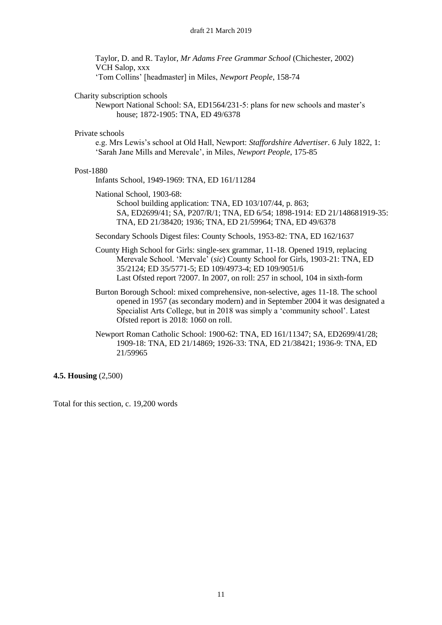Taylor, D. and R. Taylor, *Mr Adams Free Grammar School* (Chichester, 2002) VCH Salop, xxx 'Tom Collins' [headmaster] in Miles, *Newport People*, 158-74

#### Charity subscription schools

Newport National School: SA, ED1564/231-5: plans for new schools and master's house; 1872-1905: TNA, ED 49/6378

#### Private schools

e.g. Mrs Lewis's school at Old Hall, Newport: *Staffordshire Advertiser*. 6 July 1822, 1: 'Sarah Jane Mills and Merevale', in Miles, *Newport People*, 175-85

#### Post-1880

Infants School, 1949-1969: TNA, ED 161/11284

National School, 1903-68:

School building application: TNA, ED 103/107/44, p. 863; SA, ED2699/41; SA, P207/R/1; TNA, ED 6/54; 1898-1914: ED 21/148681919-35: TNA, ED 21/38420; 1936; TNA, ED 21/59964; TNA, ED 49/6378

Secondary Schools Digest files: County Schools, 1953-82: TNA, ED 162/1637

- County High School for Girls: single-sex grammar, 11-18. Opened 1919, replacing Merevale School. 'Mervale' (*sic*) County School for Girls, 1903-21: TNA, ED 35/2124; ED 35/5771-5; ED 109/4973-4; ED 109/9051/6 Last Ofsted report ?2007. In 2007, on roll: 257 in school, 104 in sixth-form
- Burton Borough School: mixed comprehensive, non-selective, ages 11-18. The school opened in 1957 (as secondary modern) and in September 2004 it was designated a Specialist Arts College, but in 2018 was simply a 'community school'. Latest Ofsted report is 2018: 1060 on roll.
- Newport Roman Catholic School: 1900-62: TNA, ED 161/11347; SA, ED2699/41/28; 1909-18: TNA, ED 21/14869; 1926-33: TNA, ED 21/38421; 1936-9: TNA, ED 21/59965

**4.5. Housing** (2,500)

Total for this section, c. 19,200 words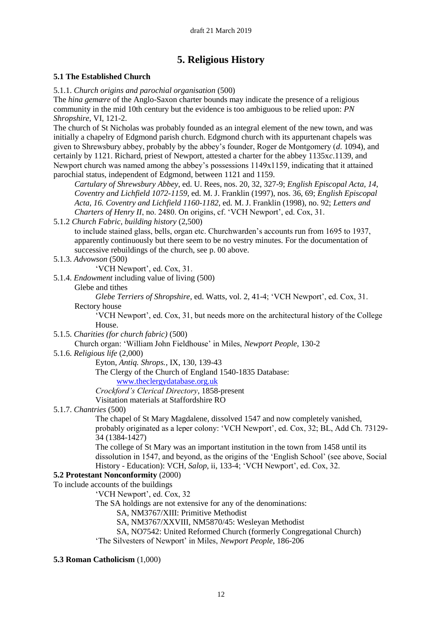## **5. Religious History**

## **5.1 The Established Church**

5.1.1. *Church origins and parochial organisation* (500)

The *hina gemære* of the Anglo-Saxon charter bounds may indicate the presence of a religious community in the mid 10th century but the evidence is too ambiguous to be relied upon: *PN Shropshire*, VI, 121-2.

The church of St Nicholas was probably founded as an integral element of the new town, and was initially a chapelry of Edgmond parish church. Edgmond church with its appurtenant chapels was given to Shrewsbury abbey, probably by the abbey's founder, Roger de Montgomery (*d*. 1094), and certainly by 1121. Richard, priest of Newport, attested a charter for the abbey 1135x*c*.1139, and Newport church was named among the abbey's possessions 1149x1159, indicating that it attained parochial status, independent of Edgmond, between 1121 and 1159.

*Cartulary of Shrewsbury Abbey*, ed. U. Rees, nos. 20, 32, 327-9; *English Episcopal Acta, 14, Coventry and Lichfield 1072-1159*, ed. M. J. Franklin (1997), nos. 36, 69; *English Episcopal Acta, 16. Coventry and Lichfield 1160-1182*, ed. M. J. Franklin (1998), no. 92; *Letters and Charters of Henry II*, no. 2480. On origins, cf. 'VCH Newport', ed. Cox, 31.

5.1.2 *Church Fabric, building history* (2,500)

to include stained glass, bells, organ etc. Churchwarden's accounts run from 1695 to 1937, apparently continuously but there seem to be no vestry minutes. For the documentation of successive rebuildings of the church, see p. 00 above.

5.1.3. *Advowson* (500)

'VCH Newport', ed. Cox, 31.

5.1.4. *Endowment* including value of living (500)

Glebe and tithes

*Glebe Terriers of Shropshire*, ed. Watts, vol. 2, 41-4; 'VCH Newport', ed. Cox, 31. Rectory house

'VCH Newport', ed. Cox, 31, but needs more on the architectural history of the College House.

5.1.5. *Charities (for church fabric)* (500)

Church organ: 'William John Fieldhouse' in Miles, *Newport People*, 130-2

5.1.6. *Religious life* (2,000)

Eyton, *Antiq. Shrops.*, IX, 130, 139-43

The Clergy of the Church of England 1540-1835 Database: [www.theclergydatabase.org.uk](http://www.theclergydatabase.org.uk/)

*Crockford's Clerical Directory*, 1858-present

Visitation materials at Staffordshire RO

## 5.1.7. *Chantries* (500)

The chapel of St Mary Magdalene, dissolved 1547 and now completely vanished, probably originated as a leper colony: 'VCH Newport', ed. Cox, 32; BL, Add Ch. 73129- 34 (1384-1427)

The college of St Mary was an important institution in the town from 1458 until its dissolution in 1547, and beyond, as the origins of the 'English School' (see above, Social History - Education): VCH, *Salop*, ii, 133-4; 'VCH Newport', ed. Cox, 32.

## **5.2 Protestant Nonconformity** (2000)

To include accounts of the buildings 'VCH Newport', ed. Cox, 32

The SA holdings are not extensive for any of the denominations:

SA, NM3767/XIII: Primitive Methodist

SA, NM3767/XXVIII, NM5870/45: Wesleyan Methodist

SA, NO7542: United Reformed Church (formerly Congregational Church)

'The Silvesters of Newport' in Miles, *Newport People*, 186-206

#### **5.3 Roman Catholicism** (1,000)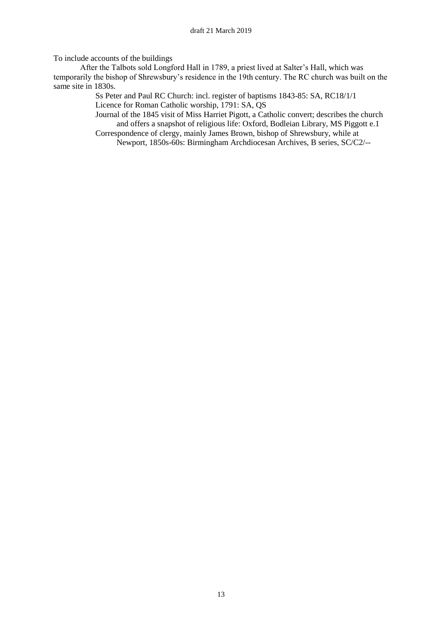To include accounts of the buildings

After the Talbots sold Longford Hall in 1789, a priest lived at Salter's Hall, which was temporarily the bishop of Shrewsbury's residence in the 19th century. The RC church was built on the same site in 1830s.

> Ss Peter and Paul RC Church: incl. register of baptisms 1843-85: SA, RC18/1/1 Licence for Roman Catholic worship, 1791: SA, QS

Journal of the 1845 visit of Miss Harriet Pigott, a Catholic convert; describes the church and offers a snapshot of religious life: Oxford, Bodleian Library, MS Piggott e.1 Correspondence of clergy, mainly James Brown, bishop of Shrewsbury, while at

Newport, 1850s-60s: Birmingham Archdiocesan Archives, B series, SC/C2/--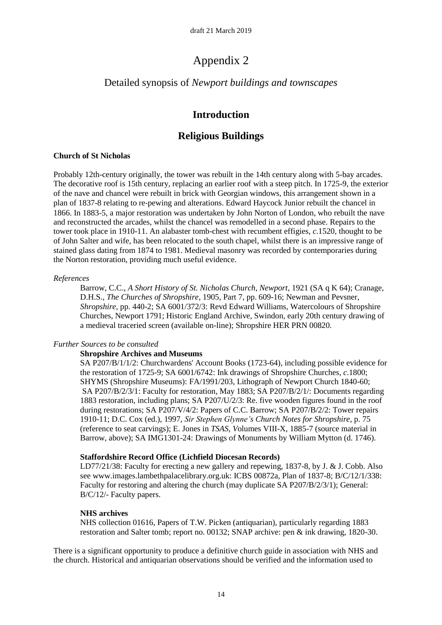# Appendix 2

## Detailed synopsis of *Newport buildings and townscapes*

## **Introduction**

## **Religious Buildings**

### **Church of St Nicholas**

Probably 12th-century originally, the tower was rebuilt in the 14th century along with 5-bay arcades. The decorative roof is 15th century, replacing an earlier roof with a steep pitch. In 1725-9, the exterior of the nave and chancel were rebuilt in brick with Georgian windows, this arrangement shown in a plan of 1837-8 relating to re-pewing and alterations. Edward Haycock Junior rebuilt the chancel in 1866. In 1883-5, a major restoration was undertaken by John Norton of London, who rebuilt the nave and reconstructed the arcades, whilst the chancel was remodelled in a second phase. Repairs to the tower took place in 1910-11. An alabaster tomb-chest with recumbent effigies, *c.*1520, thought to be of John Salter and wife, has been relocated to the south chapel, whilst there is an impressive range of stained glass dating from 1874 to 1981. Medieval masonry was recorded by contemporaries during the Norton restoration, providing much useful evidence.

### *References*

Barrow, C.C., *A Short History of St. Nicholas Church, Newport*, 1921 (SA q K 64); Cranage, D.H.S., *The Churches of Shropshire*, 1905, Part 7, pp. 609-16; Newman and Pevsner, *Shropshire*, pp. 440-2; SA 6001/372/3: Revd Edward Williams, Watercolours of Shropshire Churches, Newport 1791; Historic England Archive, Swindon, early 20th century drawing of a medieval traceried screen (available on-line); Shropshire HER PRN 00820.

## *Further Sources to be consulted*

#### **Shropshire Archives and Museums**

SA P207/B/1/1/2: Churchwardens' Account Books (1723-64), including possible evidence for the restoration of 1725-9; SA 6001/6742: Ink drawings of Shropshire Churches, *c*.1800; SHYMS (Shropshire Museums): FA/1991/203, Lithograph of Newport Church 1840-60; SA P207/B/2/3/1: Faculty for restoration, May 1883; SA P207/B/2/1/: Documents regarding 1883 restoration, including plans; SA P207/U/2/3: Re. five wooden figures found in the roof during restorations; SA P207/V/4/2: Papers of C.C. Barrow; SA P207/B/2/2: Tower repairs 1910-11; D.C. Cox (ed.), 1997, *Sir Stephen Glynne's Church Notes for Shropshire*, p. 75 (reference to seat carvings); E. Jones in *TSAS, V*olumes VIII-X*,* 1885-7 (source material in Barrow, above); SA IMG1301-24: Drawings of Monuments by William Mytton (d. 1746).

## **Staffordshire Record Office (Lichfield Diocesan Records)**

LD77/21/38: Faculty for erecting a new gallery and repewing, 1837-8, by J. & J. Cobb. Also see www.images.lambethpalacelibrary.org.uk: ICBS 00872a, Plan of 1837-8; B/C/12/1/338: Faculty for restoring and altering the church (may duplicate SA P207/B/2/3/1); General: B/C/12/- Faculty papers.

#### **NHS archives**

NHS collection 01616, Papers of T.W. Picken (antiquarian), particularly regarding 1883 restoration and Salter tomb; report no. 00132; SNAP archive: pen & ink drawing, 1820-30.

There is a significant opportunity to produce a definitive church guide in association with NHS and the church. Historical and antiquarian observations should be verified and the information used to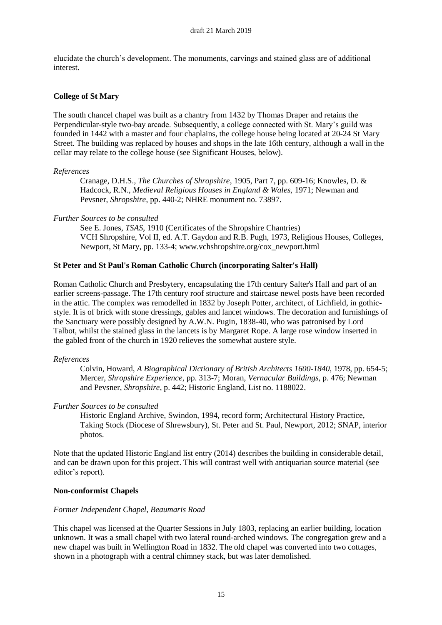elucidate the church's development. The monuments, carvings and stained glass are of additional interest.

### **College of St Mary**

The south chancel chapel was built as a chantry from 1432 by Thomas Draper and retains the Perpendicular-style two-bay arcade. Subsequently, a college connected with St. Mary's guild was founded in 1442 with a master and four chaplains, the college house being located at 20-24 St Mary Street. The building was replaced by houses and shops in the late 16th century, although a wall in the cellar may relate to the college house (see Significant Houses, below).

#### *References*

Cranage, D.H.S., *The Churches of Shropshire*, 1905, Part 7, pp. 609-16; Knowles, D. & Hadcock, R.N., *Medieval Religious Houses in England & Wales,* 1971; Newman and Pevsner, *Shropshire*, pp. 440-2; NHRE monument no. 73897.

### *Further Sources to be consulted*

See E. Jones, *TSAS*, 1910 (Certificates of the Shropshire Chantries) VCH Shropshire, Vol II, ed. A.T. Gaydon and R.B. Pugh, 1973, Religious Houses, Colleges, Newport, St Mary, pp. 133-4; www.vchshropshire.org/cox\_newport.html

## **St Peter and St Paul's Roman Catholic Church (incorporating Salter's Hall)**

Roman Catholic Church and Presbytery, encapsulating the 17th century Salter's Hall and part of an earlier screens-passage. The 17th century roof structure and staircase newel posts have been recorded in the attic. The complex was remodelled in 1832 by Joseph Potter, architect, of Lichfield, in gothicstyle. It is of brick with stone dressings, gables and lancet windows. The decoration and furnishings of the Sanctuary were possibly designed by A.W.N. Pugin, 1838-40, who was patronised by Lord Talbot, whilst the stained glass in the lancets is by Margaret Rope. A large rose window inserted in the gabled front of the church in 1920 relieves the somewhat austere style.

#### *References*

Colvin, Howard, *A Biographical Dictionary of British Architects 1600-1840*, 1978, pp. 654-5; Mercer, *Shropshire Experience*, pp. 313-7; Moran, *Vernacular Buildings,* p. 476; Newman and Pevsner, *Shropshire*, p. 442; Historic England, List no. 1188022.

#### *Further Sources to be consulted*

Historic England Archive, Swindon, 1994, record form; Architectural History Practice, Taking Stock (Diocese of Shrewsbury), St. Peter and St. Paul, Newport, 2012; SNAP, interior photos.

Note that the updated Historic England list entry (2014) describes the building in considerable detail, and can be drawn upon for this project. This will contrast well with antiquarian source material (see editor's report).

#### **Non-conformist Chapels**

## *Former Independent Chapel, Beaumaris Road*

This chapel was licensed at the Quarter Sessions in July 1803, replacing an earlier building, location unknown. It was a small chapel with two lateral round-arched windows. The congregation grew and a new chapel was built in Wellington Road in 1832. The old chapel was converted into two cottages, shown in a photograph with a central chimney stack, but was later demolished.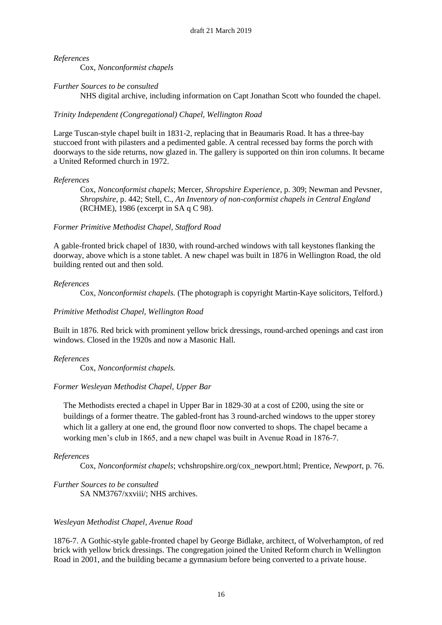Cox, *Nonconformist chapels*

## *Further Sources to be consulted*

NHS digital archive, including information on Capt Jonathan Scott who founded the chapel.

### *Trinity Independent (Congregational) Chapel, Wellington Road*

Large Tuscan-style chapel built in 1831-2, replacing that in Beaumaris Road. It has a three-bay stuccoed front with pilasters and a pedimented gable. A central recessed bay forms the porch with doorways to the side returns, now glazed in. The gallery is supported on thin iron columns. It became a United Reformed church in 1972.

### *References*

Cox, *Nonconformist chapels*; Mercer, *Shropshire Experience*, p. 309; Newman and Pevsner, *Shropshire*, p. 442; Stell, C., *An Inventory of non-conformist chapels in Central England* (RCHME), 1986 (excerpt in SA q C 98).

## *Former Primitive Methodist Chapel, Stafford Road*

A gable-fronted brick chapel of 1830, with round-arched windows with tall keystones flanking the doorway, above which is a stone tablet. A new chapel was built in 1876 in Wellington Road, the old building rented out and then sold.

### *References*

Cox, *Nonconformist chapels.* (The photograph is copyright Martin-Kaye solicitors, Telford.)

## *Primitive Methodist Chapel, Wellington Road*

Built in 1876. Red brick with prominent yellow brick dressings, round-arched openings and cast iron windows. Closed in the 1920s and now a Masonic Hall.

## *References*

Cox, *Nonconformist chapels.*

## *Former Wesleyan Methodist Chapel, Upper Bar*

The Methodists erected a chapel in Upper Bar in 1829-30 at a cost of £200, using the site or buildings of a former theatre. The gabled-front has 3 round-arched windows to the upper storey which lit a gallery at one end, the ground floor now converted to shops. The chapel became a working men's club in 1865, and a new chapel was built in Avenue Road in 1876-7.

## *References*

Cox, *Nonconformist chapels*; vchshropshire.org/cox\_newport.html; Prentice, *Newport*, p. 76.

*Further Sources to be consulted* SA NM3767/xxviii/: NHS archives.

## *Wesleyan Methodist Chapel, Avenue Road*

1876-7. A Gothic-style gable-fronted chapel by George Bidlake, architect, of Wolverhampton, of red brick with yellow brick dressings. The congregation joined the United Reform church in Wellington Road in 2001, and the building became a gymnasium before being converted to a private house.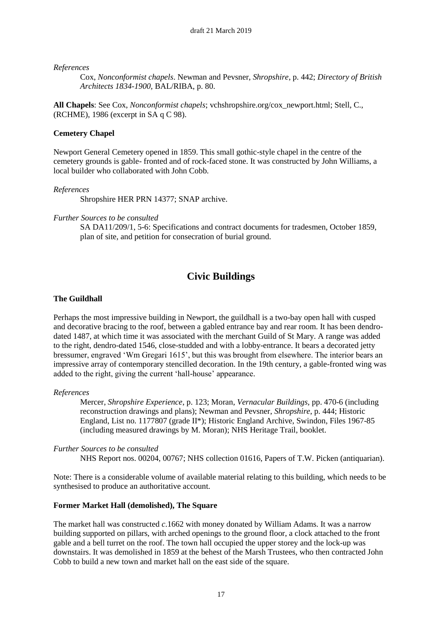Cox, *Nonconformist chapels*. Newman and Pevsner, *Shropshire*, p. 442; *Directory of British Architects 1834-1900,* BAL/RIBA, p. 80.

**All Chapels**: See Cox, *Nonconformist chapels*; vchshropshire.org/cox\_newport.html; Stell, C., (RCHME), 1986 (excerpt in SA q C 98).

### **Cemetery Chapel**

Newport General Cemetery opened in 1859. This small gothic-style chapel in the centre of the cemetery grounds is gable- fronted and of rock-faced stone. It was constructed by John Williams, a local builder who collaborated with John Cobb.

#### *References*

Shropshire HER PRN 14377; SNAP archive.

#### *Further Sources to be consulted*

SA DA11/209/1, 5-6: Specifications and contract documents for tradesmen, October 1859, plan of site, and petition for consecration of burial ground.

## **Civic Buildings**

#### **The Guildhall**

Perhaps the most impressive building in Newport, the guildhall is a two-bay open hall with cusped and decorative bracing to the roof, between a gabled entrance bay and rear room. It has been dendrodated 1487, at which time it was associated with the merchant Guild of St Mary. A range was added to the right, dendro-dated 1546, close-studded and with a lobby-entrance. It bears a decorated jetty bressumer, engraved 'Wm Gregari 1615', but this was brought from elsewhere. The interior bears an impressive array of contemporary stencilled decoration. In the 19th century, a gable-fronted wing was added to the right, giving the current 'hall-house' appearance.

#### *References*

Mercer, *Shropshire Experience*, p. 123; Moran, *Vernacular Buildings,* pp. 470-6 (including reconstruction drawings and plans); Newman and Pevsner, *Shropshire*, p. 444; Historic England, List no. 1177807 (grade II\*); Historic England Archive, Swindon, Files 1967-85 (including measured drawings by M. Moran); NHS Heritage Trail, booklet.

*Further Sources to be consulted*

NHS Report nos. 00204, 00767; NHS collection 01616, Papers of T.W. Picken (antiquarian).

Note: There is a considerable volume of available material relating to this building, which needs to be synthesised to produce an authoritative account.

#### **Former Market Hall (demolished), The Square**

The market hall was constructed *c*.1662 with money donated by William Adams. It was a narrow building supported on pillars, with arched openings to the ground floor, a clock attached to the front gable and a bell turret on the roof. The town hall occupied the upper storey and the lock-up was downstairs. It was demolished in 1859 at the behest of the Marsh Trustees, who then contracted John Cobb to build a new town and market hall on the east side of the square.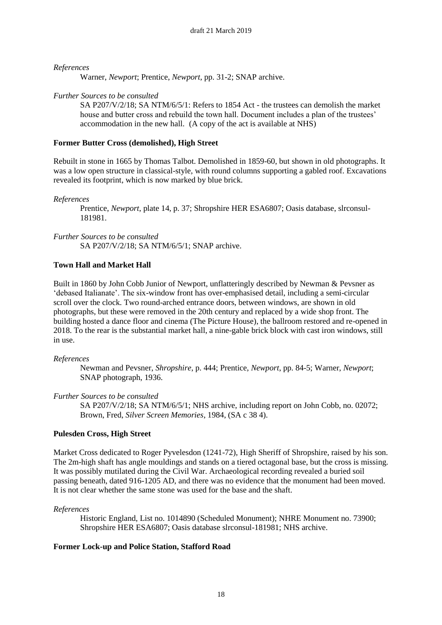Warner, *Newport*; Prentice, *Newport*, pp. 31-2; SNAP archive.

#### *Further Sources to be consulted*

SA P207/V/2/18; SA NTM/6/5/1: Refers to 1854 Act - the trustees can demolish the market house and butter cross and rebuild the town hall. Document includes a plan of the trustees' accommodation in the new hall. (A copy of the act is available at NHS)

#### **Former Butter Cross (demolished), High Street**

Rebuilt in stone in 1665 by Thomas Talbot. Demolished in 1859-60, but shown in old photographs. It was a low open structure in classical-style, with round columns supporting a gabled roof. Excavations revealed its footprint, which is now marked by blue brick.

#### *References*

Prentice, *Newport*, plate 14, p. 37; Shropshire HER ESA6807; Oasis database, slrconsul-181981.

#### *Further Sources to be consulted*

SA P207/V/2/18; SA NTM/6/5/1; SNAP archive.

#### **Town Hall and Market Hall**

Built in 1860 by John Cobb Junior of Newport, unflatteringly described by Newman & Pevsner as 'debased Italianate'. The six-window front has over-emphasised detail, including a semi-circular scroll over the clock. Two round-arched entrance doors, between windows, are shown in old photographs, but these were removed in the 20th century and replaced by a wide shop front. The building hosted a dance floor and cinema (The Picture House), the ballroom restored and re-opened in 2018. To the rear is the substantial market hall, a nine-gable brick block with cast iron windows, still in use.

#### *References*

Newman and Pevsner, *Shropshire*, p. 444; Prentice, *Newport*, pp. 84-5; Warner, *Newport*; SNAP photograph, 1936.

#### *Further Sources to be consulted*

SA P207/V/2/18; SA NTM/6/5/1; NHS archive, including report on John Cobb, no. 02072; Brown, Fred, *Silver Screen Memories*, 1984, (SA c 38 4).

#### **Pulesden Cross, High Street**

Market Cross dedicated to Roger Pyvelesdon (1241-72), High Sheriff of Shropshire, raised by his son. The 2m-high shaft has angle mouldings and stands on a tiered octagonal base, but the cross is missing. It was possibly mutilated during the Civil War. Archaeological recording revealed a buried soil passing beneath, dated 916-1205 AD, and there was no evidence that the monument had been moved. It is not clear whether the same stone was used for the base and the shaft.

#### *References*

Historic England, List no. 1014890 (Scheduled Monument); NHRE Monument no. 73900; Shropshire HER ESA6807; Oasis database slrconsul-181981; NHS archive.

#### **Former Lock-up and Police Station, Stafford Road**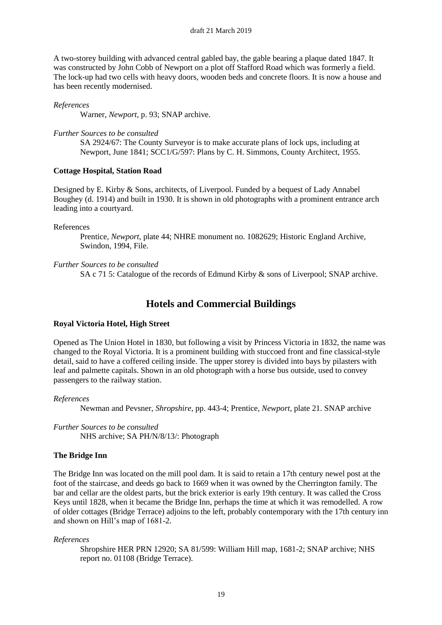A two-storey building with advanced central gabled bay, the gable bearing a plaque dated 1847. It was constructed by John Cobb of Newport on a plot off Stafford Road which was formerly a field. The lock-up had two cells with heavy doors, wooden beds and concrete floors. It is now a house and has been recently modernised.

#### *References*

Warner, *Newport,* p. 93; SNAP archive.

#### *Further Sources to be consulted*

SA 2924/67: The County Surveyor is to make accurate plans of lock ups, including at Newport, June 1841; SCC1/G/597: Plans by C. H. Simmons, County Architect, 1955.

#### **Cottage Hospital, Station Road**

Designed by E. Kirby & Sons, architects, of Liverpool. Funded by a bequest of Lady Annabel Boughey (d. 1914) and built in 1930. It is shown in old photographs with a prominent entrance arch leading into a courtyard.

#### References

Prentice, *Newport*, plate 44; NHRE monument no. 1082629; Historic England Archive, Swindon, 1994, File.

#### *Further Sources to be consulted*

SA c 71 5: Catalogue of the records of Edmund Kirby & sons of Liverpool; SNAP archive.

## **Hotels and Commercial Buildings**

#### **Royal Victoria Hotel, High Street**

Opened as The Union Hotel in 1830, but following a visit by Princess Victoria in 1832, the name was changed to the Royal Victoria. It is a prominent building with stuccoed front and fine classical-style detail, said to have a coffered ceiling inside. The upper storey is divided into bays by pilasters with leaf and palmette capitals. Shown in an old photograph with a horse bus outside, used to convey passengers to the railway station.

#### *References*

Newman and Pevsner, *Shropshire*, pp. 443-4; Prentice, *Newport*, plate 21. SNAP archive

*Further Sources to be consulted* NHS archive; SA PH/N/8/13/: Photograph

#### **The Bridge Inn**

The Bridge Inn was located on the mill pool dam. It is said to retain a 17th century newel post at the foot of the staircase, and deeds go back to 1669 when it was owned by the Cherrington family. The bar and cellar are the oldest parts, but the brick exterior is early 19th century. It was called the Cross Keys until 1828, when it became the Bridge Inn, perhaps the time at which it was remodelled. A row of older cottages (Bridge Terrace) adjoins to the left, probably contemporary with the 17th century inn and shown on Hill's map of 1681-2.

#### *References*

Shropshire HER PRN 12920; SA 81/599: William Hill map, 1681-2; SNAP archive; NHS report no. 01108 (Bridge Terrace).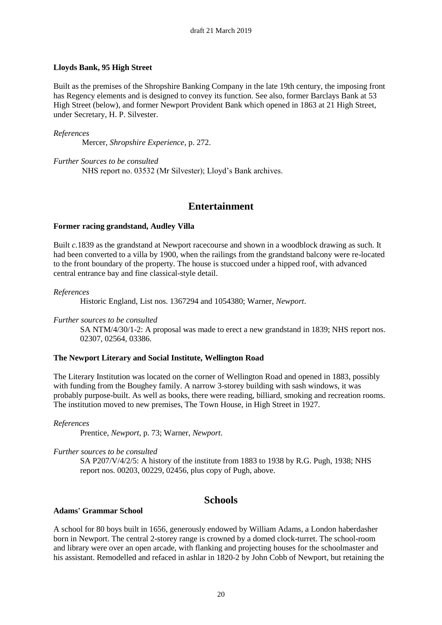#### **Lloyds Bank, 95 High Street**

Built as the premises of the Shropshire Banking Company in the late 19th century, the imposing front has Regency elements and is designed to convey its function. See also, former Barclays Bank at 53 High Street (below), and former Newport Provident Bank which opened in 1863 at 21 High Street, under Secretary, H. P. Silvester.

#### *References*

Mercer, *Shropshire Experience*, p. 272.

*Further Sources to be consulted* NHS report no. 03532 (Mr Silvester); Lloyd's Bank archives.

## **Entertainment**

#### **Former racing grandstand, Audley Villa**

Built *c.*1839 as the grandstand at Newport racecourse and shown in a woodblock drawing as such. It had been converted to a villa by 1900, when the railings from the grandstand balcony were re-located to the front boundary of the property. The house is stuccoed under a hipped roof, with advanced central entrance bay and fine classical-style detail.

#### *References*

Historic England, List nos. 1367294 and 1054380; Warner, *Newport*.

#### *Further sources to be consulted*

SA NTM/4/30/1-2: A proposal was made to erect a new grandstand in 1839; NHS report nos. 02307, 02564, 03386.

#### **The Newport Literary and Social Institute, Wellington Road**

The Literary Institution was located on the corner of Wellington Road and opened in 1883, possibly with funding from the Boughey family. A narrow 3-storey building with sash windows, it was probably purpose-built. As well as books, there were reading, billiard, smoking and recreation rooms. The institution moved to new premises, The Town House, in High Street in 1927.

#### *References*

Prentice, *Newport*, p. 73; Warner, *Newport*.

#### *Further sources to be consulted*

SA P207/V/4/2/5: A history of the institute from 1883 to 1938 by R.G. Pugh, 1938; NHS report nos. 00203, 00229, 02456, plus copy of Pugh, above.

## **Schools**

#### **Adams' Grammar School**

A school for 80 boys built in 1656, generously endowed by William Adams, a London haberdasher born in Newport. The central 2-storey range is crowned by a domed clock-turret. The school-room and library were over an open arcade, with flanking and projecting houses for the schoolmaster and his assistant. Remodelled and refaced in ashlar in 1820-2 by John Cobb of Newport, but retaining the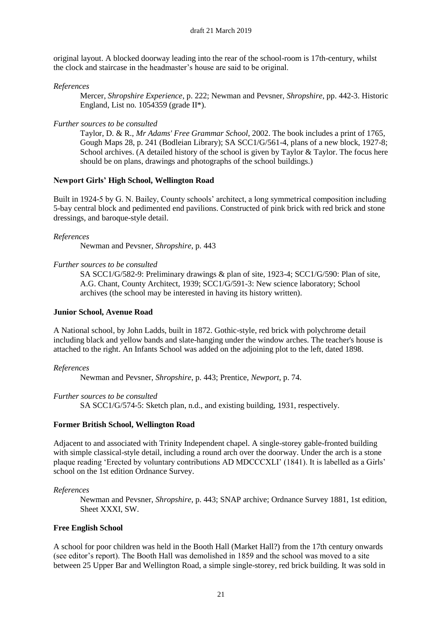original layout. A blocked doorway leading into the rear of the school-room is 17th-century, whilst the clock and staircase in the headmaster's house are said to be original.

#### *References*

Mercer, *Shropshire Experience*, p. 222; Newman and Pevsner, *Shropshire*, pp. 442-3. Historic England, List no.  $1054359$  (grade II\*).

#### *Further sources to be consulted*

Taylor, D. & R.*, Mr Adams' Free Grammar School*, 2002. The book includes a print of 1765, Gough Maps 28, p. 241 (Bodleian Library); SA SCC1/G/561-4, plans of a new block, 1927-8; School archives. (A detailed history of the school is given by Taylor & Taylor. The focus here should be on plans, drawings and photographs of the school buildings.)

#### **Newport Girls' High School, Wellington Road**

Built in 1924-5 by G. N. Bailey, County schools' architect, a long symmetrical composition including 5-bay central block and pedimented end pavilions. Constructed of pink brick with red brick and stone dressings, and baroque-style detail.

#### *References*

Newman and Pevsner, *Shropshire*, p. 443

#### *Further sources to be consulted*

SA SCC1/G/582-9: Preliminary drawings & plan of site, 1923-4; SCC1/G/590: Plan of site, A.G. Chant, County Architect, 1939; SCC1/G/591-3: New science laboratory; School archives (the school may be interested in having its history written).

#### **Junior School, Avenue Road**

A National school, by John Ladds, built in 1872. Gothic-style, red brick with polychrome detail including black and yellow bands and slate-hanging under the window arches. The teacher's house is attached to the right. An Infants School was added on the adjoining plot to the left, dated 1898.

#### *References*

Newman and Pevsner, *Shropshire*, p. 443; Prentice, *Newport*, p. 74.

#### *Further sources to be consulted*

SA SCC1/G/574-5: Sketch plan, n.d., and existing building, 1931, respectively.

#### **Former British School, Wellington Road**

Adjacent to and associated with Trinity Independent chapel. A single-storey gable-fronted building with simple classical-style detail, including a round arch over the doorway. Under the arch is a stone plaque reading 'Erected by voluntary contributions AD MDCCCXLI' (1841). It is labelled as a Girls' school on the 1st edition Ordnance Survey.

#### *References*

Newman and Pevsner, *Shropshire*, p. 443; SNAP archive; Ordnance Survey 1881, 1st edition, Sheet XXXI, SW.

#### **Free English School**

A school for poor children was held in the Booth Hall (Market Hall?) from the 17th century onwards (see editor's report). The Booth Hall was demolished in 1859 and the school was moved to a site between 25 Upper Bar and Wellington Road, a simple single-storey, red brick building. It was sold in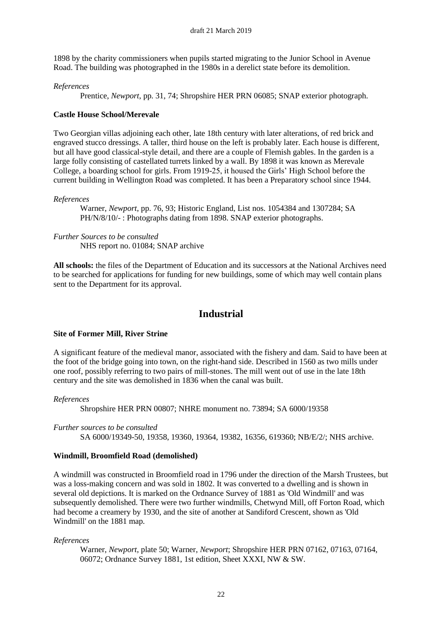1898 by the charity commissioners when pupils started migrating to the Junior School in Avenue Road. The building was photographed in the 1980s in a derelict state before its demolition.

### *References*

Prentice, *Newport*, pp. 31, 74; Shropshire HER PRN 06085; SNAP exterior photograph.

### **Castle House School/Merevale**

Two Georgian villas adjoining each other, late 18th century with later alterations, of red brick and engraved stucco dressings. A taller, third house on the left is probably later. Each house is different, but all have good classical-style detail, and there are a couple of Flemish gables. In the garden is a large folly consisting of castellated turrets linked by a wall. By 1898 it was known as Merevale College, a boarding school for girls. From 1919-25, it housed the Girls' High School before the current building in Wellington Road was completed. It has been a Preparatory school since 1944.

#### *References*

Warner, *Newport*, pp. 76, 93; Historic England, List nos. 1054384 and 1307284; SA PH/N/8/10/- : Photographs dating from 1898. SNAP exterior photographs.

*Further Sources to be consulted* NHS report no. 01084; SNAP archive

**All schools:** the files of the Department of Education and its successors at the National Archives need to be searched for applications for funding for new buildings, some of which may well contain plans sent to the Department for its approval.

## **Industrial**

#### **Site of Former Mill, River Strine**

A significant feature of the medieval manor, associated with the fishery and dam. Said to have been at the foot of the bridge going into town, on the right-hand side. Described in 1560 as two mills under one roof, possibly referring to two pairs of mill-stones. The mill went out of use in the late 18th century and the site was demolished in 1836 when the canal was built.

#### *References*

Shropshire HER PRN 00807; NHRE monument no. 73894; SA 6000/19358

*Further sources to be consulted* SA 6000/19349-50, 19358, 19360, 19364, 19382, 16356, 619360; NB/E/2/; NHS archive.

#### **Windmill, Broomfield Road (demolished)**

A windmill was constructed in Broomfield road in 1796 under the direction of the Marsh Trustees, but was a loss-making concern and was sold in 1802. It was converted to a dwelling and is shown in several old depictions. It is marked on the Ordnance Survey of 1881 as 'Old Windmill' and was subsequently demolished. There were two further windmills, Chetwynd Mill, off Forton Road, which had become a creamery by 1930, and the site of another at Sandiford Crescent, shown as 'Old Windmill' on the 1881 map.

*References*

Warner, *Newport*, plate 50; Warner, *Newport*; Shropshire HER PRN 07162, 07163, 07164, 06072; Ordnance Survey 1881, 1st edition, Sheet XXXI, NW & SW.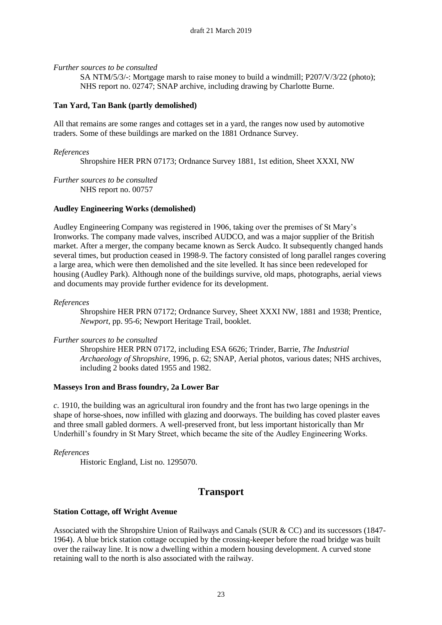*Further sources to be consulted*

SA NTM/5/3/-: Mortgage marsh to raise money to build a windmill; P207/V/3/22 (photo); NHS report no. 02747; SNAP archive, including drawing by Charlotte Burne.

### **Tan Yard, Tan Bank (partly demolished)**

All that remains are some ranges and cottages set in a yard, the ranges now used by automotive traders. Some of these buildings are marked on the 1881 Ordnance Survey.

#### *References*

Shropshire HER PRN 07173; Ordnance Survey 1881, 1st edition, Sheet XXXI, NW

*Further sources to be consulted* NHS report no. 00757

### **Audley Engineering Works (demolished)**

Audley Engineering Company was registered in 1906, taking over the premises of St Mary's Ironworks. The company made valves, inscribed AUDCO, and was a major supplier of the British market. After a merger, the company became known as Serck Audco. It subsequently changed hands several times, but production ceased in 1998-9. The factory consisted of long parallel ranges covering a large area, which were then demolished and the site levelled. It has since been redeveloped for housing (Audley Park). Although none of the buildings survive, old maps, photographs, aerial views and documents may provide further evidence for its development.

*References*

Shropshire HER PRN 07172; Ordnance Survey, Sheet XXXI NW, 1881 and 1938; Prentice, *Newport*, pp. 95-6; Newport Heritage Trail, booklet.

#### *Further sources to be consulted*

Shropshire HER PRN 07172, including ESA 6626; Trinder, Barrie, *The Industrial Archaeology of Shropshire*, 1996, p. 62; SNAP, Aerial photos, various dates; NHS archives, including 2 books dated 1955 and 1982.

#### **Masseys Iron and Brass foundry, 2a Lower Bar**

*c*. 1910, the building was an agricultural iron foundry and the front has two large openings in the shape of horse-shoes, now infilled with glazing and doorways. The building has coved plaster eaves and three small gabled dormers. A well-preserved front, but less important historically than Mr Underhill's foundry in St Mary Street, which became the site of the Audley Engineering Works.

*References*

Historic England, List no. 1295070.

## **Transport**

#### **Station Cottage, off Wright Avenue**

Associated with the Shropshire Union of Railways and Canals (SUR & CC) and its successors (1847- 1964). A blue brick station cottage occupied by the crossing-keeper before the road bridge was built over the railway line. It is now a dwelling within a modern housing development. A curved stone retaining wall to the north is also associated with the railway.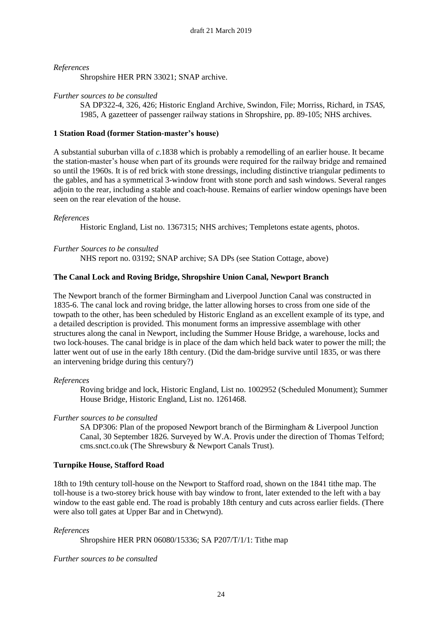Shropshire HER PRN 33021; SNAP archive.

#### *Further sources to be consulted*

SA DP322-4, 326, 426; Historic England Archive, Swindon, File; Morriss, Richard, in *TSAS*, 1985, A gazetteer of passenger railway stations in Shropshire, pp. 89-105; NHS archives.

#### **1 Station Road (former Station-master's house)**

A substantial suburban villa of *c*.1838 which is probably a remodelling of an earlier house. It became the station-master's house when part of its grounds were required for the railway bridge and remained so until the 1960s. It is of red brick with stone dressings, including distinctive triangular pediments to the gables, and has a symmetrical 3-window front with stone porch and sash windows. Several ranges adjoin to the rear, including a stable and coach-house. Remains of earlier window openings have been seen on the rear elevation of the house.

#### *References*

Historic England, List no. 1367315; NHS archives; Templetons estate agents, photos.

#### *Further Sources to be consulted*

NHS report no. 03192; SNAP archive; SA DPs (see Station Cottage, above)

#### **The Canal Lock and Roving Bridge, Shropshire Union Canal, Newport Branch**

The Newport branch of the former Birmingham and Liverpool Junction Canal was constructed in 1835-6. The canal lock and roving bridge, the latter allowing horses to cross from one side of the towpath to the other, has been scheduled by Historic England as an excellent example of its type, and a detailed description is provided. This monument forms an impressive assemblage with other structures along the canal in Newport, including the Summer House Bridge, a warehouse, locks and two lock-houses. The canal bridge is in place of the dam which held back water to power the mill; the latter went out of use in the early 18th century. (Did the dam-bridge survive until 1835, or was there an intervening bridge during this century?)

#### *References*

Roving bridge and lock, Historic England, List no. 1002952 (Scheduled Monument); Summer House Bridge, Historic England, List no. 1261468.

#### *Further sources to be consulted*

SA DP306: Plan of the proposed Newport branch of the Birmingham & Liverpool Junction Canal, 30 September 1826. Surveyed by W.A. Provis under the direction of Thomas Telford; cms.snct.co.uk (The Shrewsbury & Newport Canals Trust).

#### **Turnpike House, Stafford Road**

18th to 19th century toll-house on the Newport to Stafford road, shown on the 1841 tithe map. The toll-house is a two-storey brick house with bay window to front, later extended to the left with a bay window to the east gable end. The road is probably 18th century and cuts across earlier fields. (There were also toll gates at Upper Bar and in Chetwynd).

#### *References*

Shropshire HER PRN 06080/15336; SA P207/T/1/1: Tithe map

#### *Further sources to be consulted*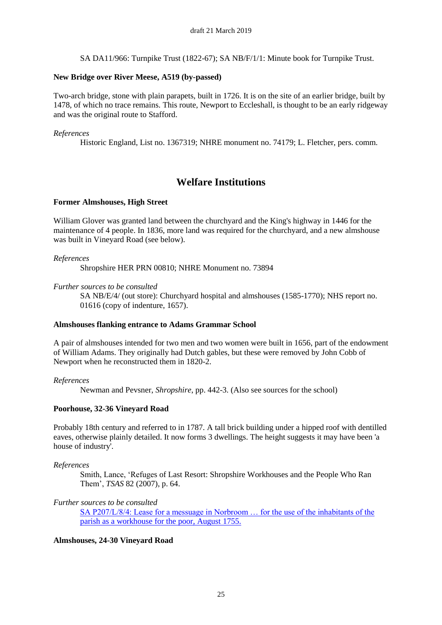SA DA11/966: Turnpike Trust (1822-67); SA NB/F/1/1: Minute book for Turnpike Trust.

### **New Bridge over River Meese, A519 (by-passed)**

Two-arch bridge, stone with plain parapets, built in 1726. It is on the site of an earlier bridge, built by 1478, of which no trace remains. This route, Newport to Eccleshall, is thought to be an early ridgeway and was the original route to Stafford.

### *References*

Historic England, List no. 1367319; NHRE monument no. 74179; L. Fletcher, pers. comm.

## **Welfare Institutions**

## **Former Almshouses, High Street**

William Glover was granted land between the churchyard and the King's highway in 1446 for the maintenance of 4 people. In 1836, more land was required for the churchyard, and a new almshouse was built in Vineyard Road (see below).

### *References*

Shropshire HER PRN 00810; NHRE Monument no. 73894

### *Further sources to be consulted*

SA NB/E/4/ (out store): Churchyard hospital and almshouses (1585-1770); NHS report no. 01616 (copy of indenture, 1657).

#### **Almshouses flanking entrance to Adams Grammar School**

A pair of almshouses intended for two men and two women were built in 1656, part of the endowment of William Adams. They originally had Dutch gables, but these were removed by John Cobb of Newport when he reconstructed them in 1820-2.

#### *References*

Newman and Pevsner, *Shropshire*, pp. 442-3. (Also see sources for the school)

## **Poorhouse, 32-36 Vineyard Road**

Probably 18th century and referred to in 1787. A tall brick building under a hipped roof with dentilled eaves, otherwise plainly detailed. It now forms 3 dwellings. The height suggests it may have been 'a house of industry'.

#### *References*

Smith, Lance, 'Refuges of Last Resort: Shropshire Workhouses and the People Who Ran Them', *TSAS* 82 (2007), p. 64.

## *Further sources to be consulted*

SA P207/L/8/4: Lease for a messuage in Norbroom … for the use of the inhabitants of the parish as a workhouse for the poor, August 1755.

## **Almshouses, 24-30 Vineyard Road**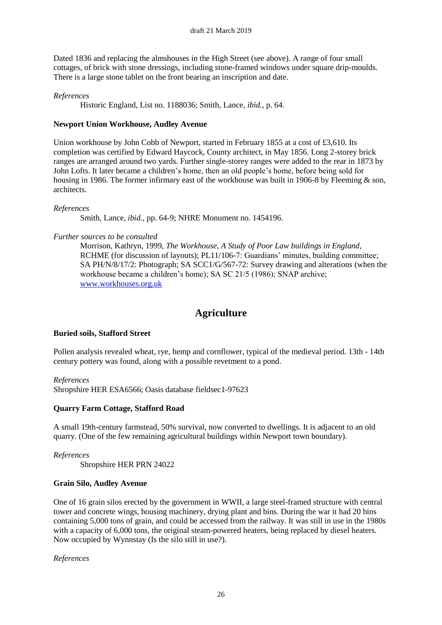Dated 1836 and replacing the almshouses in the High Street (see above). A range of four small cottages, of brick with stone dressings, including stone-framed windows under square drip-moulds. There is a large stone tablet on the front bearing an inscription and date.

#### *References*

Historic England, List no. 1188036; Smith, Lance, *ibid.*, p. 64.

### **Newport Union Workhouse, Audley Avenue**

Union workhouse by John Cobb of Newport, started in February 1855 at a cost of £3,610. Its completion was certified by Edward Haycock, County architect, in May 1856. Long 2-storey brick ranges are arranged around two yards. Further single-storey ranges were added to the rear in 1873 by John Lofts. It later became a children's home, then an old people's home, before being sold for housing in 1986. The former infirmary east of the workhouse was built in 1906-8 by Fleeming & son, architects.

#### *References*

Smith, Lance, *ibid.*, pp. 64-9; NHRE Monument no. 1454196.

#### *Further sources to be consulted*

Morrison, Kathryn, 1999, *The Workhouse, A Study of Poor Law buildings in England*, RCHME (for discussion of layouts); PL11/106-7: Guardians' minutes, building committee; SA PH/N/8/17/2: Photograph; SA SCC1/G/567-72: Survey drawing and alterations (when the workhouse became a children's home); SA SC 21/5 (1986); SNAP archive; [www.workhouses.org.uk](http://www.workhouses.org.uk/)

## **Agriculture**

#### **Buried soils, Stafford Street**

Pollen analysis revealed wheat, rye, hemp and cornflower, typical of the medieval period. 13th - 14th century pottery was found, along with a possible revetment to a pond.

*References*

Shropshire HER ESA6566; Oasis database fieldsec1-97623

#### **Quarry Farm Cottage, Stafford Road**

A small 19th-century farmstead, 50% survival, now converted to dwellings. It is adjacent to an old quarry. (One of the few remaining agricultural buildings within Newport town boundary).

*References* Shropshire HER PRN 24022

#### **Grain Silo, Audley Avenue**

One of 16 grain silos erected by the government in WWII, a large steel-framed structure with central tower and concrete wings, housing machinery, drying plant and bins. During the war it had 20 bins containing 5,000 tons of grain, and could be accessed from the railway. It was still in use in the 1980s with a capacity of 6,000 tons, the original steam-powered heaters, being replaced by diesel heaters. Now occupied by Wynnstay (Is the silo still in use?).

*References*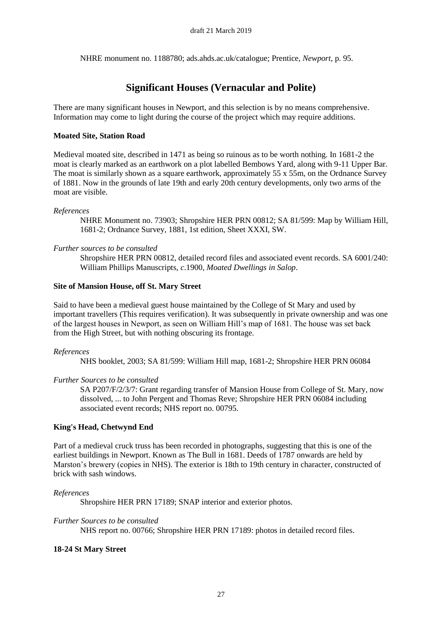NHRE monument no. 1188780; ads.ahds.ac.uk/catalogue; Prentice, *Newport*, p. 95.

## **Significant Houses (Vernacular and Polite)**

There are many significant houses in Newport, and this selection is by no means comprehensive. Information may come to light during the course of the project which may require additions.

#### **Moated Site, Station Road**

Medieval moated site, described in 1471 as being so ruinous as to be worth nothing. In 1681-2 the moat is clearly marked as an earthwork on a plot labelled Bembows Yard, along with 9-11 Upper Bar. The moat is similarly shown as a square earthwork, approximately 55 x 55m, on the Ordnance Survey of 1881. Now in the grounds of late 19th and early 20th century developments, only two arms of the moat are visible.

#### *References*

NHRE Monument no. 73903; Shropshire HER PRN 00812; SA 81/599: Map by William Hill, 1681-2; Ordnance Survey, 1881, 1st edition, Sheet XXXI, SW.

### *Further sources to be consulted*

Shropshire HER PRN 00812, detailed record files and associated event records. SA 6001/240: William Phillips Manuscripts, *c*.1900, *Moated Dwellings in Salop*.

### **Site of Mansion House, off St. Mary Street**

Said to have been a medieval guest house maintained by the College of St Mary and used by important travellers (This requires verification). It was subsequently in private ownership and was one of the largest houses in Newport, as seen on William Hill's map of 1681. The house was set back from the High Street, but with nothing obscuring its frontage.

#### *References*

NHS booklet, 2003; SA 81/599: William Hill map, 1681-2; Shropshire HER PRN 06084

#### *Further Sources to be consulted*

SA P207/F/2/3/7: Grant regarding transfer of Mansion House from College of St. Mary, now dissolved, ... to John Pergent and Thomas Reve; Shropshire HER PRN 06084 including associated event records; NHS report no. 00795.

## **King's Head, Chetwynd End**

Part of a medieval cruck truss has been recorded in photographs, suggesting that this is one of the earliest buildings in Newport. Known as The Bull in 1681. Deeds of 1787 onwards are held by Marston's brewery (copies in NHS). The exterior is 18th to 19th century in character, constructed of brick with sash windows.

#### *References*

Shropshire HER PRN 17189; SNAP interior and exterior photos.

#### *Further Sources to be consulted*

NHS report no. 00766; Shropshire HER PRN 17189: photos in detailed record files.

## **18-24 St Mary Street**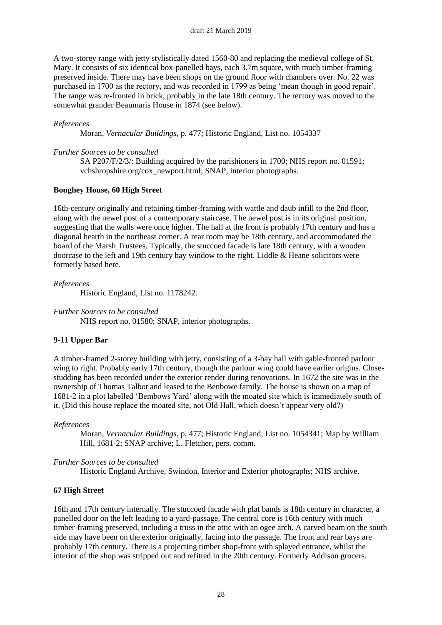A two-storey range with jetty stylistically dated 1560-80 and replacing the medieval college of St. Mary. It consists of six identical box-panelled bays, each 3.7m square, with much timber-framing preserved inside. There may have been shops on the ground floor with chambers over. No. 22 was purchased in 1700 as the rectory, and was recorded in 1799 as being 'mean though in good repair'. The range was re-fronted in brick, probably in the late 18th century. The rectory was moved to the somewhat grander Beaumaris House in 1874 (see below).

#### *References*

Moran, *Vernacular Buildings*, p. 477; Historic England, List no. 1054337

#### *Further Sources to be consulted*

SA P207/F/2/3/: Building acquired by the parishioners in 1700; NHS report no. 01591; vchshropshire.org/cox\_newport.html; SNAP, interior photographs.

#### **Boughey House, 60 High Street**

16th-century originally and retaining timber-framing with wattle and daub infill to the 2nd floor, along with the newel post of a contemporary staircase. The newel post is in its original position, suggesting that the walls were once higher. The hall at the front is probably 17th century and has a diagonal hearth in the northeast corner. A rear room may be 18th century, and accommodated the board of the Marsh Trustees. Typically, the stuccoed facade is late 18th century, with a wooden doorcase to the left and 19th century bay window to the right. Liddle & Heane solicitors were formerly based here.

#### *References*

Historic England, List no. 1178242.

*Further Sources to be consulted*

NHS report no. 01580; SNAP, interior photographs.

#### **9-11 Upper Bar**

A timber-framed 2-storey building with jetty, consisting of a 3-bay hall with gable-fronted parlour wing to right. Probably early 17th century, though the parlour wing could have earlier origins. Closestudding has been recorded under the exterior render during renovations. In 1672 the site was in the ownership of Thomas Talbot and leased to the Benbowe family. The house is shown on a map of 1681-2 in a plot labelled 'Bembows Yard' along with the moated site which is immediately south of it. (Did this house replace the moated site, not Old Hall, which doesn't appear very old?)

#### *References*

Moran, *Vernacular Buildings*, p. 477; Historic England, List no. 1054341; Map by William Hill, 1681-2; SNAP archive; L. Fletcher, pers. comm.

#### *Further Sources to be consulted*

Historic England Archive, Swindon, Interior and Exterior photographs; NHS archive.

#### **67 High Street**

16th and 17th century internally. The stuccoed facade with plat bands is 18th century in character, a panelled door on the left leading to a yard-passage. The central core is 16th century with much timber-framing preserved, including a truss in the attic with an ogee arch. A carved beam on the south side may have been on the exterior originally, facing into the passage. The front and rear bays are probably 17th century. There is a projecting timber shop-front with splayed entrance, whilst the interior of the shop was stripped out and refitted in the 20th century. Formerly Addison grocers.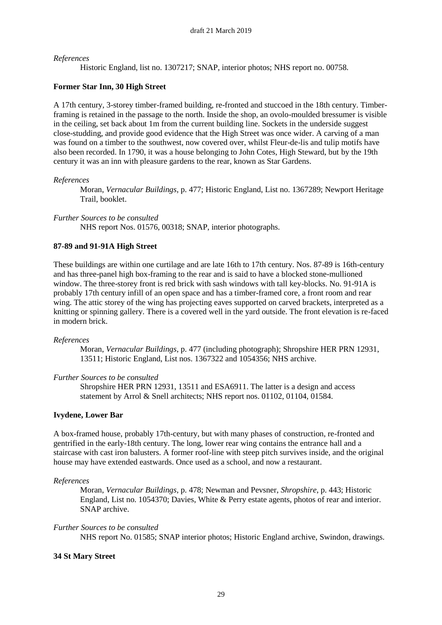Historic England, list no. 1307217; SNAP, interior photos; NHS report no. 00758.

#### **Former Star Inn, 30 High Street**

A 17th century, 3-storey timber-framed building, re-fronted and stuccoed in the 18th century. Timberframing is retained in the passage to the north. Inside the shop, an ovolo-moulded bressumer is visible in the ceiling, set back about 1m from the current building line. Sockets in the underside suggest close-studding, and provide good evidence that the High Street was once wider. A carving of a man was found on a timber to the southwest, now covered over, whilst Fleur-de-lis and tulip motifs have also been recorded. In 1790, it was a house belonging to John Cotes, High Steward, but by the 19th century it was an inn with pleasure gardens to the rear, known as Star Gardens.

#### *References*

Moran, *Vernacular Buildings*, p. 477; Historic England, List no. 1367289; Newport Heritage Trail, booklet.

*Further Sources to be consulted*

NHS report Nos. 01576, 00318; SNAP, interior photographs.

#### **87-89 and 91-91A High Street**

These buildings are within one curtilage and are late 16th to 17th century. Nos. 87-89 is 16th-century and has three-panel high box-framing to the rear and is said to have a blocked stone-mullioned window. The three-storey front is red brick with sash windows with tall key-blocks. No. 91-91A is probably 17th century infill of an open space and has a timber-framed core, a front room and rear wing. The attic storey of the wing has projecting eaves supported on carved brackets, interpreted as a knitting or spinning gallery. There is a covered well in the yard outside. The front elevation is re-faced in modern brick.

#### *References*

Moran, *Vernacular Buildings*, p. 477 (including photograph); Shropshire HER PRN 12931, 13511; Historic England, List nos. 1367322 and 1054356; NHS archive.

#### *Further Sources to be consulted*

Shropshire HER PRN 12931, 13511 and ESA6911. The latter is a design and access statement by Arrol & Snell architects; NHS report nos. 01102, 01104, 01584.

#### **Ivydene, Lower Bar**

A box-framed house, probably 17th-century, but with many phases of construction, re-fronted and gentrified in the early-18th century. The long, lower rear wing contains the entrance hall and a staircase with cast iron balusters. A former roof-line with steep pitch survives inside, and the original house may have extended eastwards. Once used as a school, and now a restaurant.

#### *References*

Moran, *Vernacular Buildings*, p. 478; Newman and Pevsner, *Shropshire*, p. 443; Historic England, List no. 1054370; Davies, White & Perry estate agents, photos of rear and interior. SNAP archive.

#### *Further Sources to be consulted*

NHS report No. 01585; SNAP interior photos; Historic England archive, Swindon, drawings.

#### **34 St Mary Street**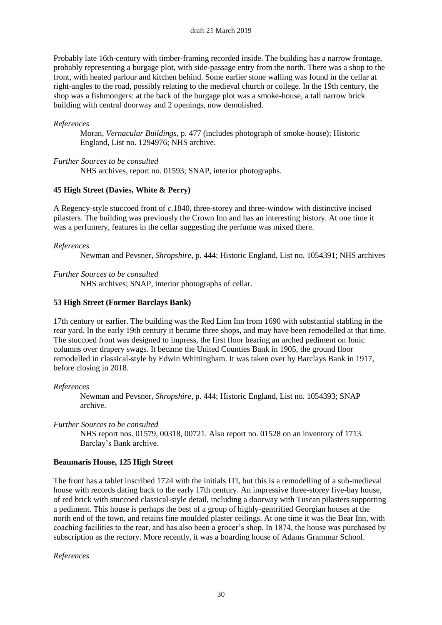Probably late 16th-century with timber-framing recorded inside. The building has a narrow frontage, probably representing a burgage plot, with side-passage entry from the north. There was a shop to the front, with heated parlour and kitchen behind. Some earlier stone walling was found in the cellar at right-angles to the road, possibly relating to the medieval church or college. In the 19th century, the shop was a fishmongers: at the back of the burgage plot was a smoke-house, a tall narrow brick building with central doorway and 2 openings, now demolished.

#### *References*

Moran, *Vernacular Buildings*, p. 477 (includes photograph of smoke-house); Historic England, List no. 1294976; NHS archive.

#### *Further Sources to be consulted*

NHS archives, report no. 01593; SNAP, interior photographs.

#### **45 High Street (Davies, White & Perry)**

A Regency-style stuccoed front of *c.*1840, three-storey and three-window with distinctive incised pilasters. The building was previously the Crown Inn and has an interesting history. At one time it was a perfumery, features in the cellar suggesting the perfume was mixed there.

#### *References*

Newman and Pevsner, *Shropshire*, p. 444; Historic England, List no. 1054391; NHS archives

*Further Sources to be consulted*

NHS archives; SNAP, interior photographs of cellar.

#### **53 High Street (Former Barclays Bank)**

17th century or earlier. The building was the Red Lion Inn from 1690 with substantial stabling in the rear yard. In the early 19th century it became three shops, and may have been remodelled at that time. The stuccoed front was designed to impress, the first floor bearing an arched pediment on Ionic columns over drapery swags. It became the United Counties Bank in 1905, the ground floor remodelled in classical-style by Edwin Whittingham. It was taken over by Barclays Bank in 1917, before closing in 2018.

#### *References*

Newman and Pevsner, *Shropshire*, p. 444; Historic England, List no. 1054393; SNAP archive.

*Further Sources to be consulted*

NHS report nos. 01579, 00318, 00721. Also report no. 01528 on an inventory of 1713. Barclay's Bank archive.

#### **Beaumaris House, 125 High Street**

The front has a tablet inscribed 1724 with the initials ITI, but this is a remodelling of a sub-medieval house with records dating back to the early 17th century. An impressive three-storey five-bay house, of red brick with stuccoed classical-style detail, including a doorway with Tuscan pilasters supporting a pediment. This house is perhaps the best of a group of highly-gentrified Georgian houses at the north end of the town, and retains fine moulded plaster ceilings. At one time it was the Bear Inn, with coaching facilities to the rear, and has also been a grocer's shop. In 1874, the house was purchased by subscription as the rectory. More recently, it was a boarding house of Adams Grammar School.

*References*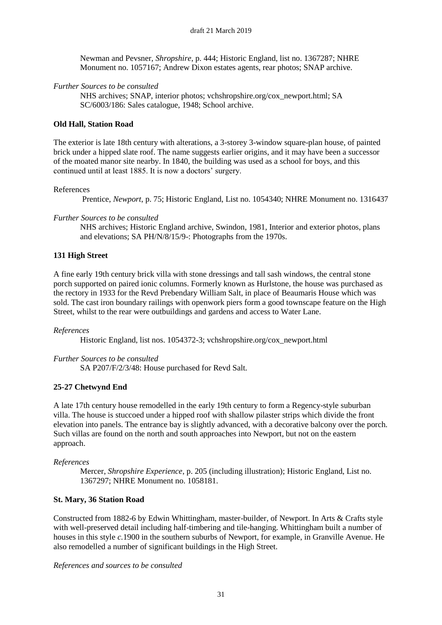Newman and Pevsner, *Shropshire*, p. 444; Historic England, list no. 1367287; NHRE Monument no. 1057167; Andrew Dixon estates agents, rear photos; SNAP archive.

### *Further Sources to be consulted*

NHS archives; SNAP, interior photos; vchshropshire.org/cox\_newport.html; SA SC/6003/186: Sales catalogue, 1948; School archive.

### **Old Hall, Station Road**

The exterior is late 18th century with alterations, a 3-storey 3-window square-plan house, of painted brick under a hipped slate roof. The name suggests earlier origins, and it may have been a successor of the moated manor site nearby. In 1840, the building was used as a school for boys, and this continued until at least 1885. It is now a doctors' surgery.

#### References

Prentice, *Newport*, p. 75; Historic England, List no. 1054340; NHRE Monument no. 1316437

### *Further Sources to be consulted*

NHS archives; Historic England archive, Swindon, 1981, Interior and exterior photos, plans and elevations; SA PH/N/8/15/9-: Photographs from the 1970s.

### **131 High Street**

A fine early 19th century brick villa with stone dressings and tall sash windows, the central stone porch supported on paired ionic columns. Formerly known as Hurlstone, the house was purchased as the rectory in 1933 for the Revd Prebendary William Salt, in place of Beaumaris House which was sold. The cast iron boundary railings with openwork piers form a good townscape feature on the High Street, whilst to the rear were outbuildings and gardens and access to Water Lane.

#### *References*

Historic England, list nos. 1054372-3; vchshropshire.org/cox\_newport.html

#### *Further Sources to be consulted*

SA P207/F/2/3/48: House purchased for Revd Salt.

#### **25-27 Chetwynd End**

A late 17th century house remodelled in the early 19th century to form a Regency-style suburban villa. The house is stuccoed under a hipped roof with shallow pilaster strips which divide the front elevation into panels. The entrance bay is slightly advanced, with a decorative balcony over the porch. Such villas are found on the north and south approaches into Newport, but not on the eastern approach.

#### *References*

Mercer, *Shropshire Experience*, p. 205 (including illustration); Historic England, List no. 1367297; NHRE Monument no. 1058181.

## **St. Mary, 36 Station Road**

Constructed from 1882-6 by Edwin Whittingham, master-builder, of Newport. In Arts & Crafts style with well-preserved detail including half-timbering and tile-hanging. Whittingham built a number of houses in this style *c.*1900 in the southern suburbs of Newport, for example, in Granville Avenue. He also remodelled a number of significant buildings in the High Street.

*References and sources to be consulted*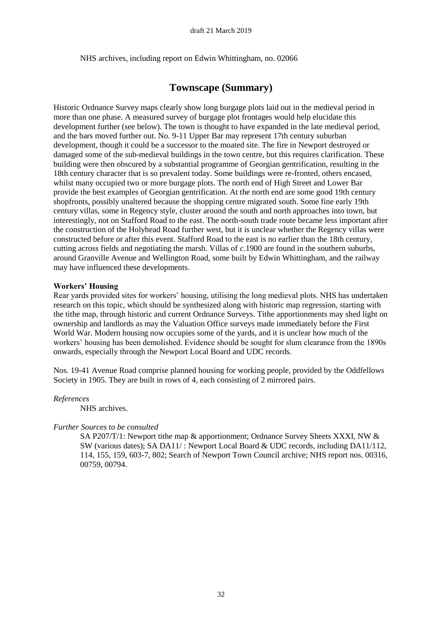NHS archives, including report on Edwin Whittingham, no. 02066

## **Townscape (Summary)**

Historic Ordnance Survey maps clearly show long burgage plots laid out in the medieval period in more than one phase. A measured survey of burgage plot frontages would help elucidate this development further (see below). The town is thought to have expanded in the late medieval period, and the bars moved further out. No. 9-11 Upper Bar may represent 17th century suburban development, though it could be a successor to the moated site. The fire in Newport destroyed or damaged some of the sub-medieval buildings in the town centre, but this requires clarification. These building were then obscured by a substantial programme of Georgian gentrification, resulting in the 18th century character that is so prevalent today. Some buildings were re-fronted, others encased, whilst many occupied two or more burgage plots. The north end of High Street and Lower Bar provide the best examples of Georgian gentrification. At the north end are some good 19th century shopfronts, possibly unaltered because the shopping centre migrated south. Some fine early 19th century villas, some in Regency style, cluster around the south and north approaches into town, but interestingly, not on Stafford Road to the east. The north-south trade route became less important after the construction of the Holyhead Road further west, but it is unclear whether the Regency villas were constructed before or after this event. Stafford Road to the east is no earlier than the 18th century, cutting across fields and negotiating the marsh. Villas of *c*.1900 are found in the southern suburbs, around Granville Avenue and Wellington Road, some built by Edwin Whittingham, and the railway may have influenced these developments.

#### **Workers' Housing**

Rear yards provided sites for workers' housing, utilising the long medieval plots. NHS has undertaken research on this topic, which should be synthesized along with historic map regression, starting with the tithe map, through historic and current Ordnance Surveys. Tithe apportionments may shed light on ownership and landlords as may the Valuation Office surveys made immediately before the First World War. Modern housing now occupies some of the yards, and it is unclear how much of the workers' housing has been demolished. Evidence should be sought for slum clearance from the 1890s onwards, especially through the Newport Local Board and UDC records.

Nos. 19-41 Avenue Road comprise planned housing for working people, provided by the Oddfellows Society in 1905. They are built in rows of 4, each consisting of 2 mirrored pairs.

#### *References*

NHS archives.

#### *Further Sources to be consulted*

SA P207/T/1: Newport tithe map & apportionment; Ordnance Survey Sheets XXXI, NW & SW (various dates); SA DA11/ : Newport Local Board & UDC records, including DA11/112, 114, 155, 159, 603-7, 802; Search of Newport Town Council archive; NHS report nos. 00316, 00759, 00794.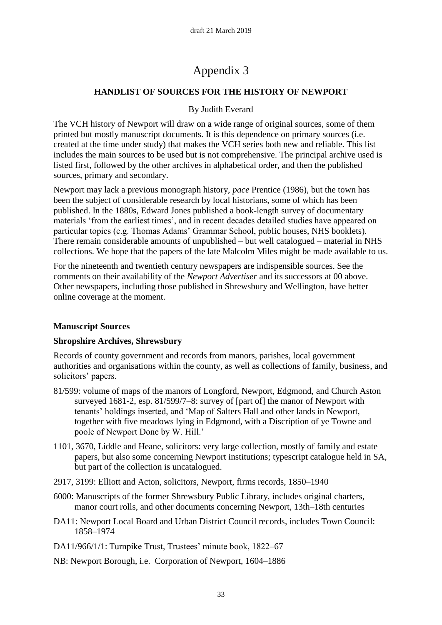# Appendix 3

## **HANDLIST OF SOURCES FOR THE HISTORY OF NEWPORT**

## By Judith Everard

The VCH history of Newport will draw on a wide range of original sources, some of them printed but mostly manuscript documents. It is this dependence on primary sources (i.e. created at the time under study) that makes the VCH series both new and reliable. This list includes the main sources to be used but is not comprehensive. The principal archive used is listed first, followed by the other archives in alphabetical order, and then the published sources, primary and secondary.

Newport may lack a previous monograph history, *pace* Prentice (1986), but the town has been the subject of considerable research by local historians, some of which has been published. In the 1880s, Edward Jones published a book-length survey of documentary materials 'from the earliest times', and in recent decades detailed studies have appeared on particular topics (e.g. Thomas Adams' Grammar School, public houses, NHS booklets). There remain considerable amounts of unpublished – but well catalogued – material in NHS collections. We hope that the papers of the late Malcolm Miles might be made available to us.

For the nineteenth and twentieth century newspapers are indispensible sources. See the comments on their availability of the *Newport Advertiser* and its successors at 00 above. Other newspapers, including those published in Shrewsbury and Wellington, have better online coverage at the moment.

## **Manuscript Sources**

## **Shropshire Archives, Shrewsbury**

Records of county government and records from manors, parishes, local government authorities and organisations within the county, as well as collections of family, business, and solicitors' papers.

- 81/599: volume of maps of the manors of Longford, Newport, Edgmond, and Church Aston surveyed 1681-2, esp. 81/599/7–8: survey of [part of] the manor of Newport with tenants' holdings inserted, and 'Map of Salters Hall and other lands in Newport, together with five meadows lying in Edgmond, with a Discription of ye Towne and poole of Newport Done by W. Hill.'
- 1101, 3670, Liddle and Heane, solicitors: very large collection, mostly of family and estate papers, but also some concerning Newport institutions; typescript catalogue held in SA, but part of the collection is uncatalogued.
- 2917, 3199: Elliott and Acton, solicitors, Newport, firms records, 1850–1940
- 6000: Manuscripts of the former Shrewsbury Public Library, includes original charters, manor court rolls, and other documents concerning Newport, 13th–18th centuries
- DA11: Newport Local Board and Urban District Council records, includes Town Council: 1858–1974
- DA11/966/1/1: Turnpike Trust, Trustees' minute book, 1822–67
- NB: Newport Borough, i.e. Corporation of Newport, 1604–1886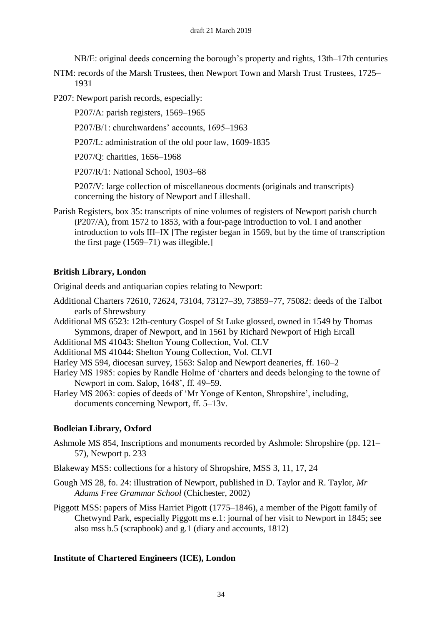NB/E: original deeds concerning the borough's property and rights, 13th–17th centuries

NTM: records of the Marsh Trustees, then Newport Town and Marsh Trust Trustees, 1725– 1931

P207: Newport parish records, especially:

P207/A: parish registers, 1569–1965

P207/B/1: churchwardens' accounts, 1695–1963

P207/L: administration of the old poor law, 1609-1835

P207/Q: charities, 1656–1968

P207/R/1: National School, 1903–68

P207/V: large collection of miscellaneous docments (originals and transcripts) concerning the history of Newport and Lilleshall.

Parish Registers, box 35: transcripts of nine volumes of registers of Newport parish church (P207/A), from 1572 to 1853, with a four-page introduction to vol. I and another introduction to vols III–IX [The register began in 1569, but by the time of transcription the first page (1569–71) was illegible.]

## **British Library, London**

Original deeds and antiquarian copies relating to Newport:

- Additional Charters 72610, 72624, 73104, 73127–39, 73859–77, 75082: deeds of the Talbot earls of Shrewsbury
- Additional MS 6523: 12th-century Gospel of St Luke glossed, owned in 1549 by Thomas Symmons, draper of Newport, and in 1561 by Richard Newport of High Ercall

Additional MS 41043: Shelton Young Collection, Vol. CLV

Additional MS 41044: Shelton Young Collection, Vol. CLVI

Harley MS 594, diocesan survey, 1563: Salop and Newport deaneries, ff. 160–2

Harley MS 1985: copies by Randle Holme of 'charters and deeds belonging to the towne of Newport in com. Salop, 1648', ff. 49–59.

Harley MS 2063: copies of deeds of 'Mr Yonge of Kenton, Shropshire', including, documents concerning Newport, ff. 5–13v.

## **Bodleian Library, Oxford**

Ashmole MS 854, Inscriptions and monuments recorded by Ashmole: Shropshire (pp. 121– 57), Newport p. 233

Blakeway MSS: collections for a history of Shropshire, MSS 3, 11, 17, 24

Gough MS 28, fo. 24: illustration of Newport, published in D. Taylor and R. Taylor, *Mr Adams Free Grammar School* (Chichester, 2002)

Piggott MSS: papers of Miss Harriet Pigott (1775–1846), a member of the Pigott family of Chetwynd Park, especially Piggott ms e.1: journal of her visit to Newport in 1845; see also mss b.5 (scrapbook) and g.1 (diary and accounts, 1812)

## **Institute of Chartered Engineers (ICE), London**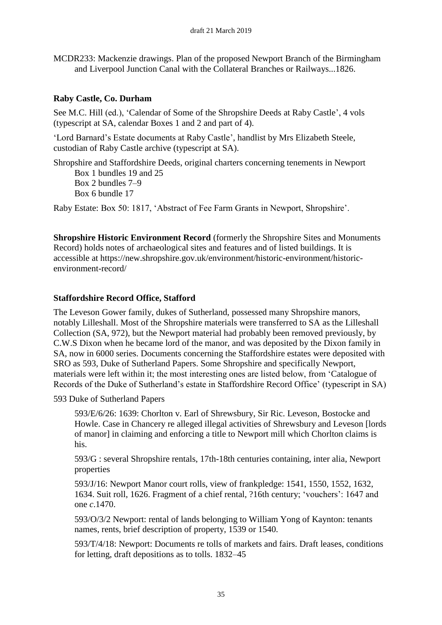MCDR233: Mackenzie drawings. Plan of the proposed Newport Branch of the Birmingham and Liverpool Junction Canal with the Collateral Branches or Railways...1826.

## **Raby Castle, Co. Durham**

See M.C. Hill (ed.), 'Calendar of Some of the Shropshire Deeds at Raby Castle', 4 vols (typescript at SA, calendar Boxes 1 and 2 and part of 4).

'Lord Barnard's Estate documents at Raby Castle', handlist by Mrs Elizabeth Steele, custodian of Raby Castle archive (typescript at SA).

Shropshire and Staffordshire Deeds, original charters concerning tenements in Newport Box 1 bundles 19 and 25 Box 2 bundles 7–9 Box 6 bundle 17

Raby Estate: Box 50: 1817, 'Abstract of Fee Farm Grants in Newport, Shropshire'.

**Shropshire Historic Environment Record** (formerly the Shropshire Sites and Monuments Record) holds notes of archaeological sites and features and of listed buildings. It is accessible at https://new.shropshire.gov.uk/environment/historic-environment/historicenvironment-record/

## **Staffordshire Record Office, Stafford**

The Leveson Gower family, dukes of Sutherland, possessed many Shropshire manors, notably Lilleshall. Most of the Shropshire materials were transferred to SA as the Lilleshall Collection (SA, 972), but the Newport material had probably been removed previously, by C.W.S Dixon when he became lord of the manor, and was deposited by the Dixon family in SA, now in 6000 series. Documents concerning the Staffordshire estates were deposited with SRO as 593, Duke of Sutherland Papers. Some Shropshire and specifically Newport, materials were left within it; the most interesting ones are listed below, from 'Catalogue of Records of the Duke of Sutherland's estate in Staffordshire Record Office' (typescript in SA)

593 Duke of Sutherland Papers

593/E/6/26: 1639: Chorlton v. Earl of Shrewsbury, Sir Ric. Leveson, Bostocke and Howle. Case in Chancery re alleged illegal activities of Shrewsbury and Leveson [lords of manor] in claiming and enforcing a title to Newport mill which Chorlton claims is his.

593/G : several Shropshire rentals, 17th-18th centuries containing, inter alia, Newport properties

593/J/16: Newport Manor court rolls, view of frankpledge: 1541, 1550, 1552, 1632, 1634. Suit roll, 1626. Fragment of a chief rental, ?16th century; 'vouchers': 1647 and one *c*.1470.

593/O/3/2 Newport: rental of lands belonging to William Yong of Kaynton: tenants names, rents, brief description of property, 1539 or 1540.

593/T/4/18: Newport: Documents re tolls of markets and fairs. Draft leases, conditions for letting, draft depositions as to tolls. 1832–45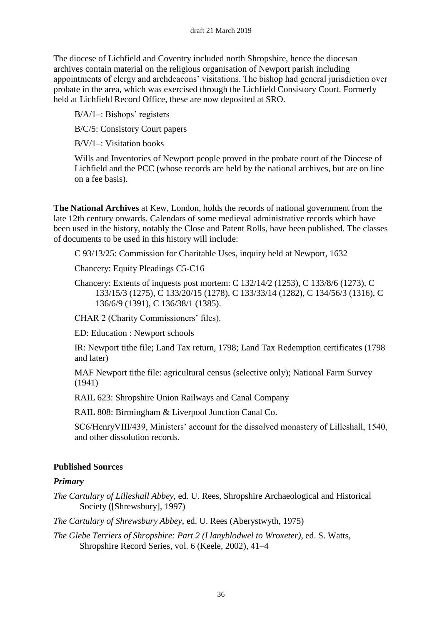The diocese of Lichfield and Coventry included north Shropshire, hence the diocesan archives contain material on the religious organisation of Newport parish including appointments of clergy and archdeacons' visitations. The bishop had general jurisdiction over probate in the area, which was exercised through the Lichfield Consistory Court. Formerly held at Lichfield Record Office, these are now deposited at SRO.

B/A/1–: Bishops' registers

B/C/5: Consistory Court papers

B/V/1–: Visitation books

Wills and Inventories of Newport people proved in the probate court of the Diocese of Lichfield and the PCC (whose records are held by the national archives, but are on line on a fee basis).

**The National Archives** at Kew, London, holds the records of national government from the late 12th century onwards. Calendars of some medieval administrative records which have been used in the history, notably the Close and Patent Rolls, have been published. The classes of documents to be used in this history will include:

C 93/13/25: Commission for Charitable Uses, inquiry held at Newport, 1632

Chancery: Equity Pleadings C5-C16

Chancery: Extents of inquests post mortem: C 132/14/2 (1253), C 133/8/6 (1273), C 133/15/3 (1275), C 133/20/15 (1278), C 133/33/14 (1282), C 134/56/3 (1316), C 136/6/9 (1391), C 136/38/1 (1385).

CHAR 2 (Charity Commissioners' files).

ED: Education : Newport schools

IR: Newport tithe file; Land Tax return, 1798; Land Tax Redemption certificates (1798 and later)

MAF Newport tithe file: agricultural census (selective only); National Farm Survey (1941)

RAIL 623: Shropshire Union Railways and Canal Company

RAIL 808: Birmingham & Liverpool Junction Canal Co.

SC6/HenryVIII/439, Ministers' account for the dissolved monastery of Lilleshall, 1540, and other dissolution records.

## **Published Sources**

## *Primary*

*The Cartulary of Lilleshall Abbey*, ed. U. Rees, Shropshire Archaeological and Historical Society ([Shrewsbury], 1997)

*The Cartulary of Shrewsbury Abbey*, ed. U. Rees (Aberystwyth, 1975)

*The Glebe Terriers of Shropshire: Part 2 (Llanyblodwel to Wroxeter)*, ed. S. Watts, Shropshire Record Series, vol. 6 (Keele, 2002), 41–4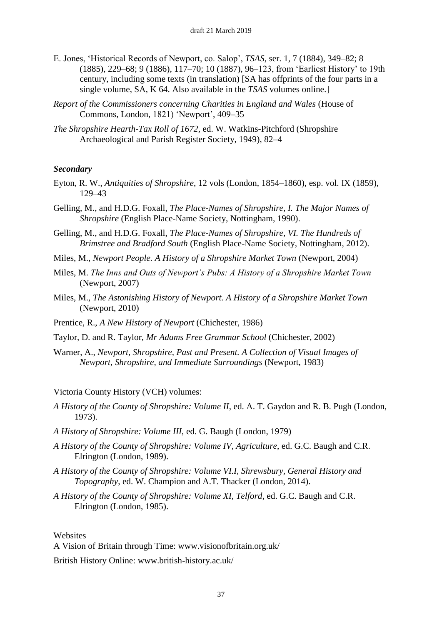- E. Jones, 'Historical Records of Newport, co. Salop', *TSAS*, ser. 1, 7 (1884), 349–82; 8 (1885), 229–68; 9 (1886), 117–70; 10 (1887), 96–123, from 'Earliest History' to 19th century, including some texts (in translation) [SA has offprints of the four parts in a single volume, SA, K 64. Also available in the *TSAS* volumes online.]
- *Report of the Commissioners concerning Charities in England and Wales* (House of Commons, London, 1821) 'Newport', 409–35
- *The Shropshire Hearth-Tax Roll of 1672*, ed. W. Watkins-Pitchford (Shropshire Archaeological and Parish Register Society, 1949), 82–4

### *Secondary*

- Eyton, R. W., *Antiquities of Shropshire*, 12 vols (London, 1854–1860), esp. vol. IX (1859), 129–43
- Gelling, M., and H.D.G. Foxall, *The Place-Names of Shropshire, I. The Major Names of Shropshire* (English Place-Name Society, Nottingham, 1990).
- Gelling, M., and H.D.G. Foxall, *The Place-Names of Shropshire, VI. The Hundreds of Brimstree and Bradford South* (English Place-Name Society, Nottingham, 2012).
- Miles, M., *Newport People. A History of a Shropshire Market Town* (Newport, 2004)
- Miles, M. *The Inns and Outs of Newport's Pubs: A History of a Shropshire Market Town* (Newport, 2007)
- Miles, M., *The Astonishing History of Newport. A History of a Shropshire Market Town* (Newport, 2010)
- Prentice, R., *A New History of Newport* (Chichester, 1986)
- Taylor, D. and R. Taylor, *Mr Adams Free Grammar School* (Chichester, 2002)
- Warner, A., *Newport, Shropshire, Past and Present. A Collection of Visual Images of Newport, Shropshire, and Immediate Surroundings* (Newport, 1983)

### Victoria County History (VCH) volumes:

- *A History of the County of Shropshire: Volume II*, ed. A. T. Gaydon and R. B. Pugh (London, 1973).
- *A History of Shropshire: Volume III*, ed. G. Baugh (London, 1979)
- *A History of the County of Shropshire: Volume IV, Agriculture*, ed. G.C. Baugh and C.R. Elrington (London, 1989).
- *A History of the County of Shropshire: Volume VI.I, Shrewsbury, General History and Topography*, ed. W. Champion and A.T. Thacker (London, 2014).
- *A History of the County of Shropshire: Volume XI, Telford*, ed. G.C. Baugh and C.R. Elrington (London, 1985).

#### **Websites**

A Vision of Britain through Time: www.visionofbritain.org.uk/

British History Online: www.british-history.ac.uk/